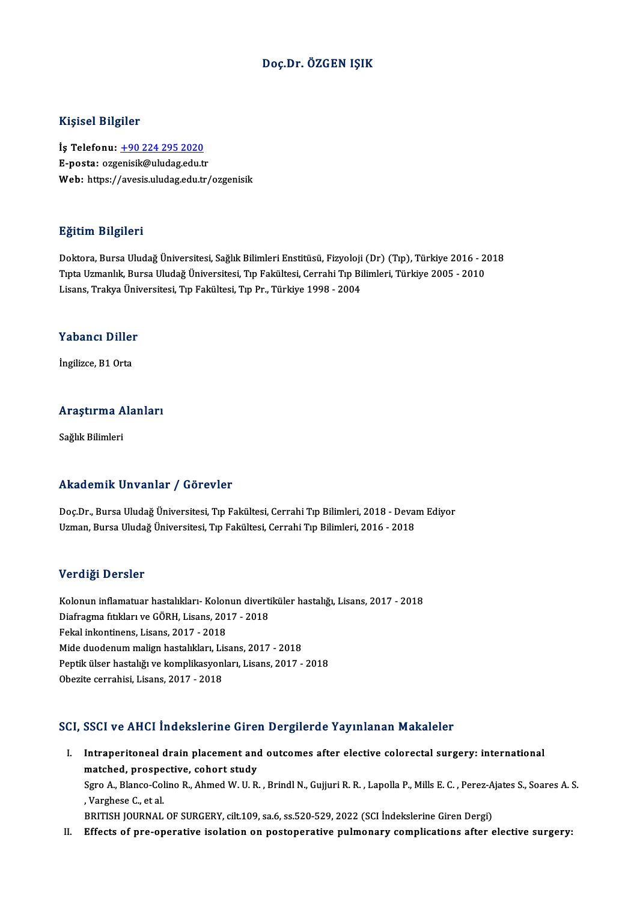#### Doç.Dr. ÖZGEN IŞIK

#### Kişisel Bilgiler

Kişisel Bilgiler<br>İş Telefonu: <u>+90 224 295 2020</u><br>E nosta: ezzenisik@uludas.edu.tr 11191001 D1191101<br>İş Telefonu: <u>+90 224 295 2020</u><br>E-posta: ozg[enisik@uludag.edu.t](tel:+90 224 295 2020)r E-posta: ozgenisik@uludag.edu.tr<br>Web: https://avesis.uludag.edu.tr/ozgenisik

#### Eğitim Bilgileri

Doktora, Bursa Uludağ Üniversitesi, Sağlık Bilimleri Enstitüsü, Fizyoloji (Dr) (Tıp), Türkiye 2016 - 2018 Eşkenin Barşirova<br>Doktora, Bursa Uludağ Üniversitesi, Sağlık Bilimleri Enstitüsü, Fizyoloji (Dr) (Tıp), Türkiye 2016 - 2<br>Tıpta Uzmanlık, Bursa Uludağ Üniversitesi, Tıp Fakültesi, Cerrahi Tıp Bilimleri, Türkiye 2005 - 2010<br> Doktora, Bursa Uludağ Üniversitesi, Sağlık Bilimleri Enstitüsü, Fizyoloji<br>Tıpta Uzmanlık, Bursa Uludağ Üniversitesi, Tıp Fakültesi, Cerrahi Tıp Bi<br>Lisans, Trakya Üniversitesi, Tıp Fakültesi, Tıp Pr., Türkiye 1998 - 2004 Lisans, Trakya Üniversitesi, Tıp Fakültesi, Tıp Pr., Türkiye 1998 - 2004<br>Yabancı Diller

İngilizce,B1Orta

# ingilizce, bi orta<br>Araştırma Alanları <mark>Araştırma A</mark><br>Sağlık Bilimleri

# Akademik Unvanlar / Görevler

Akademik Unvanlar / Görevler<br>Doç.Dr., Bursa Uludağ Üniversitesi, Tıp Fakültesi, Cerrahi Tıp Bilimleri, 2018 - Devam Ediyor<br>Uzman Bursa Uludağ Üniversitesi, Tıp Fakültesi, Cerrahi Tıp Bilimleri, 2016 - 2018 Uzman,BursaUludağÜniversitesi,Tıp Fakültesi,CerrahiTıpBilimleri,2016 -2018 Uzman, Bursa Uludağ Üniversitesi, Tıp Fakültesi, Cerrahi Tıp Bilimleri, 2016 - 2018<br>Verdiği Dersler

Verdiği Dersler<br>Kolonun inflamatuar hastalıkları- Kolonun divertiküler hastalığı, Lisans, 2017 - 2018<br>Diafrasma fıtlıları ve CÖPH, Lisans, 2017 - 2018 ver diği Dersier<br>Kolonun inflamatuar hastalıkları- Kolonun diverti<br>Diafragma fıtıkları ve GÖRH, Lisans, 2017 - 2018<br>Felmi inkentinens, Lisans, 2017 - 2019 Kolonun inflamatuar hastalıkları- Kolon<br>Diafragma fıtıkları ve GÖRH, Lisans, 201<br>Fekal inkontinens, Lisans, 2017 - 2018<br>Mide duodenum malian hastalıkları Lis Diafragma fitikları ve GÖRH, Lisans, 2017 - 2018<br>Fekal inkontinens, Lisans, 2017 - 2018<br>Mide duodenum malign hastalıkları, Lisans, 2017 - 2018<br>Pontik ülser bastalığı ve komplikasyonları, Lisans, 2017 Fekal inkontinens, Lisans, 2017 - 2018<br>Mide duodenum malign hastalıkları, Lisans, 2017 - 2018<br>Peptik ülser hastalığı ve komplikasyonları, Lisans, 2017 - 2018<br>Obezite cerrahisi, Lisans, 2017 - 2018 Mide duodenum malign hastalıkları, Li:<br>Peptik ülser hastalığı ve komplikasyon<br>Obezite cerrahisi, Lisans, 2017 - 2018

#### SCI, SSCI ve AHCI İndekslerine Giren Dergilerde Yayınlanan Makaleler

CI, SSCI ve AHCI İndekslerine Giren Dergilerde Yayınlanan Makaleler<br>I. Intraperitoneal drain placement and outcomes after elective colorectal surgery: international<br>matebod.prespective.cobert.study Intraperitoneal drain placement and<br>matched, prospective, cohort study<br>Save A. Blance Goline B. Abmed W. U. B. Intraperitoneal drain placement and outcomes after elective colorectal surgery: international<br>matched, prospective, cohort study<br>Sgro A., Blanco-Colino R., Ahmed W. U. R. , Brindl N., Gujjuri R. R. , Lapolla P., Mills E. C matched, prospe<br>Sgro A., Blanco-Col<br>, Varghese C., et al.<br>PRITISH JOURNAL Sgro A., Blanco-Colino R., Ahmed W. U. R. , Brindl N., Gujjuri R. R. , Lapolla P., Mills E. C. , Perez-A<br>, Varghese C., et al.<br>BRITISH JOURNAL OF SURGERY, cilt.109, sa.6, ss.520-529, 2022 (SCI İndekslerine Giren Dergi)<br>Eff I . Varghese C., et al.<br>BRITISH JOURNAL OF SURGERY, cilt.109, sa.6, ss.520-529, 2022 (SCI Indekslerine Giren Dergi)<br>II. Effects of pre-operative isolation on postoperative pulmonary complications after elective surgery: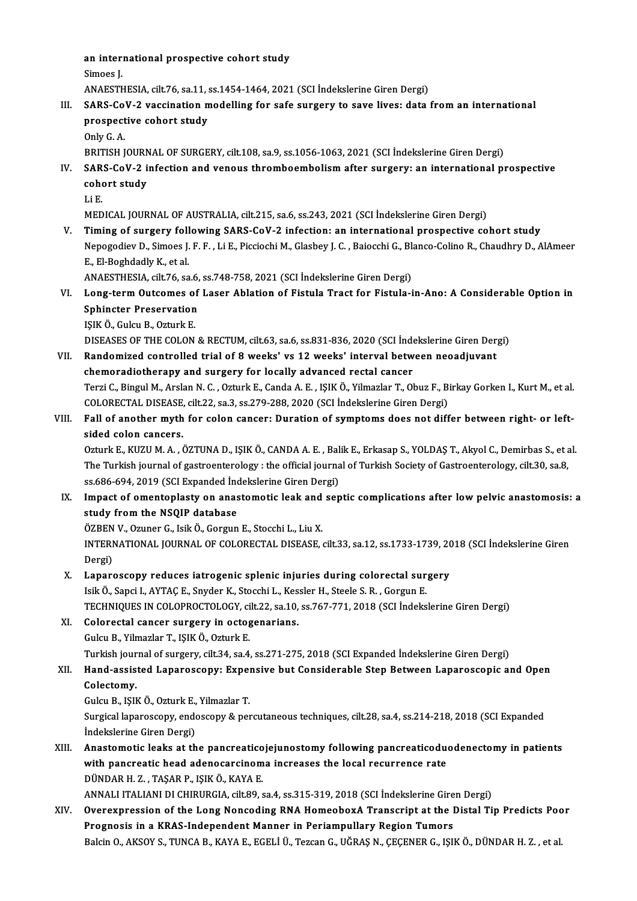an international prospective cohort study<br>Simoes I an inter:<br>Simoes J.<br>ANAESTL

Simoes J.<br>ANAESTHESIA, cilt.76, sa.11, ss.1454-1464, 2021 (SCI İndekslerine Giren Dergi)

## Simoes J.<br>ANAESTHESIA, cilt.76, sa.11, ss.1454-1464, 2021 (SCI İndekslerine Giren Dergi)<br>III. SARS-CoV-2 vaccination modelling for safe surgery to save lives: data from an international<br>preepestive sebert study ANAESTHESIA, cilt.76, sa.11, s<br>SARS-CoV-2 vaccination m<br>prospective cohort study<br>Only C A SARS-Co<br>prospect<br>Only G. A.<br>ppitisu i prospective cohort study<br>Only G. A.<br>BRITISH JOURNAL OF SURGERY, cilt.108, sa.9, ss.1056-1063, 2021 (SCI İndekslerine Giren Dergi)<br>SARS CoV 3 infection and veneus thrembeembelism efter surgery; an international pr

- Only G. A.<br>BRITISH JOURNAL OF SURGERY, cilt.108, sa.9, ss.1056-1063, 2021 (SCI İndekslerine Giren Dergi)<br>IV. SARS-CoV-2 infection and venous thromboembolism after surgery: an international prospective<br>cobort study BRITISH JOURN<br>SARS-CoV-2 i<br>cohort study<br>Li E SAR<br>coho<br>Li E.<br>MED cohort study<br>Li E.<br>MEDICAL JOURNAL OF AUSTRALIA, cilt.215, sa.6, ss.243, 2021 (SCI İndekslerine Giren Dergi)
	-

V. Timing of surgery following SARS-CoV-2 infection: an international prospective cohort study MEDICAL JOURNAL OF AUSTRALIA, cilt.215, sa.6, ss.243, 2021 (SCI İndekslerine Giren Dergi)<br>Timing of surgery following SARS-CoV-2 infection: an international prospective cohort study<br>Nepogodiev D., Simoes J. F. F. , Li E., E.,El-BoghdadlyK.,etal. Nepogodiev D., Simoes J. F. F. , Li E., Picciochi M., Glasbey J. C. , Baiocchi G., Bl.<br>E., El-Boghdadly K., et al.<br>ANAESTHESIA, cilt.76, sa.6, ss.748-758, 2021 (SCI İndekslerine Giren Dergi)<br>Long term Quteomes of Laser Abl

E., El-Boghdadly K., et al.<br>ANAESTHESIA, cilt.76, sa.6, ss.748-758, 2021 (SCI İndekslerine Giren Dergi)<br>VI. Long-term Outcomes of Laser Ablation of Fistula Tract for Fistula-in-Ano: A Considerable Option in<br>Sphingtor P ANAESTHESIA, cilt.76, sa.6, ss.748-758, 2021 (SCI Indekslerine Giren Dergi)<br>Long-term Outcomes of Laser Ablation of Fistula Tract for Fistula-i<br>Sphincter Preservation<br>ISIK Ö., Gulcu B., Ozturk E. Long-term Outcomes of<br>Sphincter Preservation<br>IŞIK Ö., Gulcu B., Ozturk E.<br>DISEASES OF TUE COLON

DISEASES OF THE COLON & RECTUM, cilt.63, sa.6, ss.831-836, 2020 (SCI İndekslerine Giren Dergi)

- IŞIK Ö., Gulcu B., Ozturk E.<br>DISEASES OF THE COLON & RECTUM, cilt.63, sa.6, ss.831-836, 2020 (SCI İndekslerine Giren Der,<br>VII. Randomized controlled trial of 8 weeks' vs 12 weeks' interval between neoadjuvant<br>chameradiathe DISEASES OF THE COLON & RECTUM, cilt.63, sa.6, ss.831-836, 2020 (SCI Inde<br>Randomized controlled trial of 8 weeks' vs 12 weeks' interval betw<br>chemoradiotherapy and surgery for locally advanced rectal cancer<br>Terri G Bingul M chemoradiotherapy and surgery for locally advanced rectal cancer<br>Terzi C., Bingul M., Arslan N. C. , Ozturk E., Canda A. E. , IŞIK Ö., Yilmazlar T., Obuz F., Birkay Gorken I., Kurt M., et al. chemoradiotherapy and surgery for locally advanced rectal cancer<br>Terzi C., Bingul M., Arslan N. C. , Ozturk E., Canda A. E. , IŞIK Ö., Yilmazlar T., Obuz F., B.<br>COLORECTAL DISEASE, cilt.22, sa.3, ss.279-288, 2020 (SCI İnde
- VIII. Fall of another myth for colon cancer: Duration of symptoms does not differ between right- or left-<br>sided colon cancers. COLORECTAL DISEASE,<br>Fall of another myth<br>sided colon cancers. Fall of another myth for colon cancer: Duration of symptoms does not differ between right- or left-<br>sided colon cancers.<br>Ozturk E., KUZU M. A. , ÖZTUNA D., IŞIK Ö., CANDA A. E. , Balik E., Erkasap S., YOLDAŞ T., Akyol C.,

sided colon cancers.<br>Ozturk E., KUZU M. A. , ÖZTUNA D., IŞIK Ö., CANDA A. E. , Balik E., Erkasap S., YOLDAŞ T., Akyol C., Demirbas S., et<br>The Turkish journal of gastroenterology : the official journal of Turkish Society of Ozturk E., KUZU M. A. , ÖZTUNA D., IŞIK Ö., CANDA A. E. , Bal<br>The Turkish journal of gastroenterology : the official journa<br>ss.686-694, 2019 (SCI Expanded İndekslerine Giren Dergi)<br>Impact of amentanlasty an anastamatis laa The Turkish journal of gastroenterology : the official journal of Turkish Society of Gastroenterology, cilt.30, sa.8, ss.686-694, 2019 (SCI Expanded Indekslerine Giren Dergi)<br>IX. Impact of omentoplasty on anastomotic leak

ss.686-694, 2019 (SCI Expanded Inc<br>Impact of omentoplasty on anas<br>study from the NSQIP database<br>ÖZPEN V. Omner G. Jeik Ö. Ceraun Impact of omentoplasty on anastomotic leak and<br>study from the NSQIP database<br>ÖZBEN V., Ozuner G., Isik Ö., Gorgun E., Stocchi L., Liu X.<br>INTERNATIONAL JOURNAL OF COLORECTAL DISEASE

study from the NSQIP database<br>ÖZBEN V., Ozuner G., Isik Ö., Gorgun E., Stocchi L., Liu X.<br>INTERNATIONAL JOURNAL OF COLORECTAL DISEASE, cilt.33, sa.12, ss.1733-1739, 2018 (SCI İndekslerine Giren ÖZBEN<br>INTERI<br>Dergi)<br>Lanan INTERNATIONAL JOURNAL OF COLORECTAL DISEASE, cilt.33, sa.12, ss.1733-1739, 20<br>Dergi)<br>X. Laparoscopy reduces iatrogenic splenic injuries during colorectal surgery<br>Jeit Ö. Sangi LAYTACE, Spyder K. Stogebi L. Kessler H. Stoge

- Dergi)<br>Isik Ö., Sapci I., AYTAÇ E., Snyder K., Stocchi L., Kessler H., Steele S. R. , Gorgun E.<br>Isik Ö., Sapci I., AYTAÇ E., Snyder K., Stocchi L., Kessler H., Steele S. R. , Gorgun E. TECHNIQUES IN COLOPROCTOLOGY, cilt.22, sa.10, ss.767-771, 2018 (SCI İndekslerine Giren Dergi)
- XI. Colorectal cancer surgery in octogenarians. GulcuB.,YilmazlarT., IŞIKÖ.,OzturkE. Colorectal cancer surgery in octogenarians.<br>Gulcu B., Yilmazlar T., IŞIK Ö., Ozturk E.<br>Turkish journal of surgery, cilt.34, sa.4, ss.271-275, 2018 (SCI Expanded İndekslerine Giren Dergi)<br>Hand assistad Lanaressenyu Expansiv

## Gulcu B., Yilmazlar T., IŞIK Ö., Ozturk E.<br>Turkish journal of surgery, cilt.34, sa.4, ss.271-275, 2018 (SCI Expanded İndekslerine Giren Dergi)<br>XII. Hand-assisted Laparoscopy: Expensive but Considerable Step Between Lap Turkish jour<br>Hand-assis<br>Colectomy.<br>Culcu B. ISII Hand-assisted Laparoscopy: Exper<br>Colectomy.<br>Gulcu B., IŞIK Ö., Ozturk E., Yilmazlar T.<br>Surgical laparoscopy: ondoscopy: & per

Colectomy.<br>Gulcu B., IŞIK Ö., Ozturk E., Yilmazlar T.<br>Surgical laparoscopy, endoscopy & percutaneous techniques, cilt.28, sa.4, ss.214-218, 2018 (SCI Expanded<br>İndekslerine Ciren Dergi) Gulcu B., IŞIK Ö., Ozturk E.,<br>Surgical laparoscopy, ende<br>İndekslerine Giren Dergi)<br>Anastamatis laaks at th Surgical laparoscopy, endoscopy & percutaneous techniques, cilt.28, sa.4, ss.214-218, 2018 (SCI Expanded<br>Indekslerine Giren Dergi)<br>XIII. Anastomotic leaks at the pancreaticojejunostomy following pancreaticoduodenectomy in

indekslerine Giren Dergi)<br>Anastomotic leaks at the pancreaticojejunostomy following pancreaticodu<br>with pancreatic head adenocarcinoma increases the local recurrence rate<br>PÜNDAR H.Z., TASAR R. ISIKÖ, KAVA F Anastomotic leaks at the pancreatico<br>with pancreatic head adenocarcinom<br>DÜNDAR H. Z. , TAŞAR P., IŞIK Ö., KAYA E.<br>ANNALLITALIANLDI CHIPUPCIA silt 80.4 with pancreatic head adenocarcinoma increases the local recurrence rate<br>DÜNDAR H. Z. , TAŞAR P., IŞIK Ö., KAYA E.<br>ANNALI ITALIANI DI CHIRURGIA, cilt.89, sa.4, ss.315-319, 2018 (SCI İndekslerine Giren Dergi)<br>Quenounnession

DÜNDAR H. Z. , TAŞAR P., IŞIK Ö., KAYA E.<br>ANNALI ITALIANI DI CHIRURGIA, cilt.89, sa.4, ss.315-319, 2018 (SCI İndekslerine Giren Dergi)<br>XIV. Overexpression of the Long Noncoding RNA HomeoboxA Transcript at the Distal Ti ANNALI ITALIANI DI CHIRURGIA, cilt.89, sa.4, ss.315-319, 2018 (SCI İndekslerine Gire<br>Overexpression of the Long Noncoding RNA HomeoboxA Transcript at the l<br>Prognosis in a KRAS-Independent Manner in Periampullary Region Tum Overexpression of the Long Noncoding RNA HomeoboxA Transcript at the Distal Tip Predicts Poor<br>Prognosis in a KRAS-Independent Manner in Periampullary Region Tumors<br>Balcin O., AKSOY S., TUNCA B., KAYA E., EGELİ Ü., Tezcan G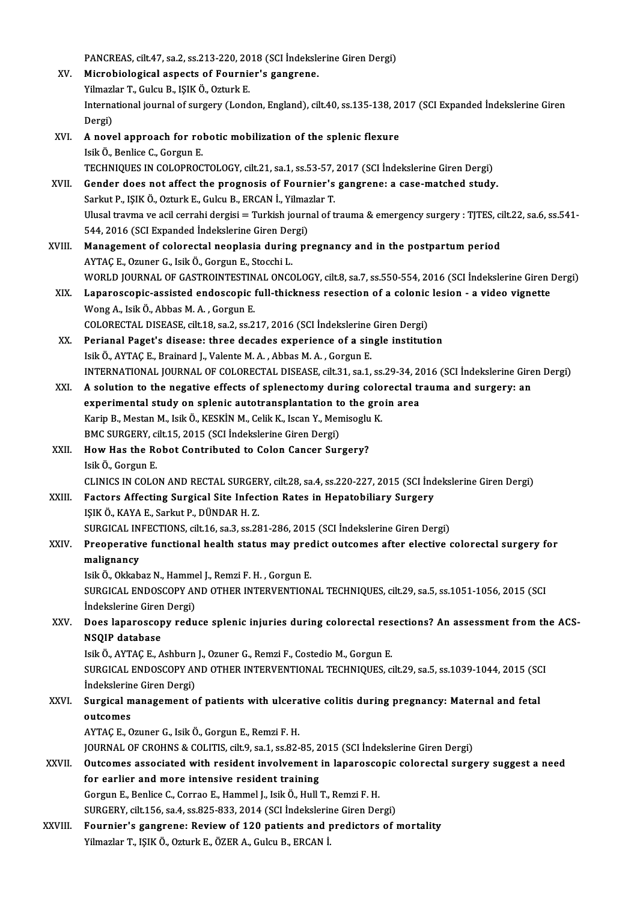PANCREAS, cilt.47, sa.2, ss.213-220, 2018 (SCI İndekslerine Giren Dergi)

XV. Microbiological aspects of Fournier's gangrene. PANCREAS, cilt.47, sa.2, ss.213-220, 20<br>Microbiological aspects of Fournie<br>Yilmazlar T., Gulcu B., IŞIK Ö., Ozturk E.<br>International journal of surgery (Lord Microbiological aspects of Fournier's gangrene.<br>Yilmazlar T., Gulcu B., IŞIK Ö., Ozturk E.<br>International journal of surgery (London, England), cilt.40, ss.135-138, 2017 (SCI Expanded İndekslerine Giren Yilmazl<br>Interna<br>Dergi)<br>A nove International journal of surgery (London, England), cilt.40, ss.135-138, 20<br>Dergi)<br>XVI. A novel approach for robotic mobilization of the splenic flexure<br>Isik Ö Penlice G Cergun F

|         | Dergi)                                                                                                                |
|---------|-----------------------------------------------------------------------------------------------------------------------|
| XVI.    | A novel approach for robotic mobilization of the splenic flexure                                                      |
|         | Isik Ö., Benlice C., Gorgun E.                                                                                        |
|         | TECHNIQUES IN COLOPROCTOLOGY, cilt.21, sa.1, ss.53-57, 2017 (SCI İndekslerine Giren Dergi)                            |
| XVII.   | Gender does not affect the prognosis of Fournier's gangrene: a case-matched study.                                    |
|         | Sarkut P., IŞIK Ö., Ozturk E., Gulcu B., ERCAN İ., Yilmazlar T.                                                       |
|         | Ulusal travma ve acil cerrahi dergisi = Turkish journal of trauma & emergency surgery : TJTES, cilt.22, sa.6, ss.541- |
|         | 544, 2016 (SCI Expanded İndekslerine Giren Dergi)                                                                     |
| XVIII.  | Management of colorectal neoplasia during pregnancy and in the postpartum period                                      |
|         | AYTAÇ E., Ozuner G., Isik Ö., Gorgun E., Stocchi L.                                                                   |
|         | WORLD JOURNAL OF GASTROINTESTINAL ONCOLOGY, cilt.8, sa.7, ss.550-554, 2016 (SCI Indekslerine Giren Dergi)             |
| XIX.    | Laparoscopic-assisted endoscopic full-thickness resection of a colonic lesion - a video vignette                      |
|         | Wong A., Isik Ö., Abbas M. A., Gorgun E.                                                                              |
|         | COLORECTAL DISEASE, cilt.18, sa.2, ss.217, 2016 (SCI İndekslerine Giren Dergi)                                        |
| XX.     | Perianal Paget's disease: three decades experience of a single institution                                            |
|         | Isik Ö., AYTAÇ E., Brainard J., Valente M. A., Abbas M. A., Gorgun E.                                                 |
|         | INTERNATIONAL JOURNAL OF COLORECTAL DISEASE, cilt.31, sa.1, ss.29-34, 2016 (SCI İndekslerine Giren Dergi)             |
| XXI.    | A solution to the negative effects of splenectomy during colorectal trauma and surgery: an                            |
|         | experimental study on splenic autotransplantation to the groin area                                                   |
|         | Karip B., Mestan M., Isik Ö., KESKİN M., Celik K., Iscan Y., Memisoglu K.                                             |
|         | BMC SURGERY, cilt.15, 2015 (SCI İndekslerine Giren Dergi)                                                             |
| XXII.   | How Has the Robot Contributed to Colon Cancer Surgery?                                                                |
|         | Isik Ö., Gorgun E.                                                                                                    |
|         | CLINICS IN COLON AND RECTAL SURGERY, cilt.28, sa.4, ss.220-227, 2015 (SCI İndekslerine Giren Dergi)                   |
| XXIII.  | Factors Affecting Surgical Site Infection Rates in Hepatobiliary Surgery                                              |
|         | IŞIK Ö., KAYA E., Sarkut P., DÜNDAR H.Z.                                                                              |
|         | SURGICAL INFECTIONS, cilt.16, sa.3, ss.281-286, 2015 (SCI Indekslerine Giren Dergi)                                   |
| XXIV.   | Preoperative functional health status may predict outcomes after elective colorectal surgery for                      |
|         | malignancy                                                                                                            |
|         | Isik Ö., Okkabaz N., Hammel J., Remzi F. H., Gorgun E.                                                                |
|         | SURGICAL ENDOSCOPY AND OTHER INTERVENTIONAL TECHNIQUES, cilt.29, sa.5, ss.1051-1056, 2015 (SCI                        |
|         | Indekslerine Giren Dergi)                                                                                             |
| XXV.    | Does laparoscopy reduce splenic injuries during colorectal resections? An assessment from the ACS-                    |
|         | NSQIP database                                                                                                        |
|         | Isik Ö., AYTAÇ E., Ashburn J., Ozuner G., Remzi F., Costedio M., Gorgun E.                                            |
|         | SURGICAL ENDOSCOPY AND OTHER INTERVENTIONAL TECHNIQUES, cilt.29, sa.5, ss.1039-1044, 2015 (SCI                        |
|         | İndekslerine Giren Dergi)                                                                                             |
| XXVI.   | Surgical management of patients with ulcerative colitis during pregnancy: Maternal and fetal                          |
|         | outcomes<br>AYTAÇ E., Ozuner G., Isik Ö., Gorgun E., Remzi F. H.                                                      |
|         | JOURNAL OF CROHNS & COLITIS, cilt.9, sa.1, ss.82-85, 2015 (SCI Indekslerine Giren Dergi)                              |
| XXVII.  | Outcomes associated with resident involvement in laparoscopic colorectal surgery suggest a need                       |
|         | for earlier and more intensive resident training                                                                      |
|         | Gorgun E., Benlice C., Corrao E., Hammel J., Isik Ö., Hull T., Remzi F. H.                                            |
|         | SURGERY, cilt.156, sa.4, ss.825-833, 2014 (SCI Indekslerine Giren Dergi)                                              |
|         | Fournier's gangrene: Review of 120 patients and predictors of mortality                                               |
| XXVIII. | Yilmazlar T., IŞIK Ö., Ozturk E., ÖZER A., Gulcu B., ERCAN İ.                                                         |
|         |                                                                                                                       |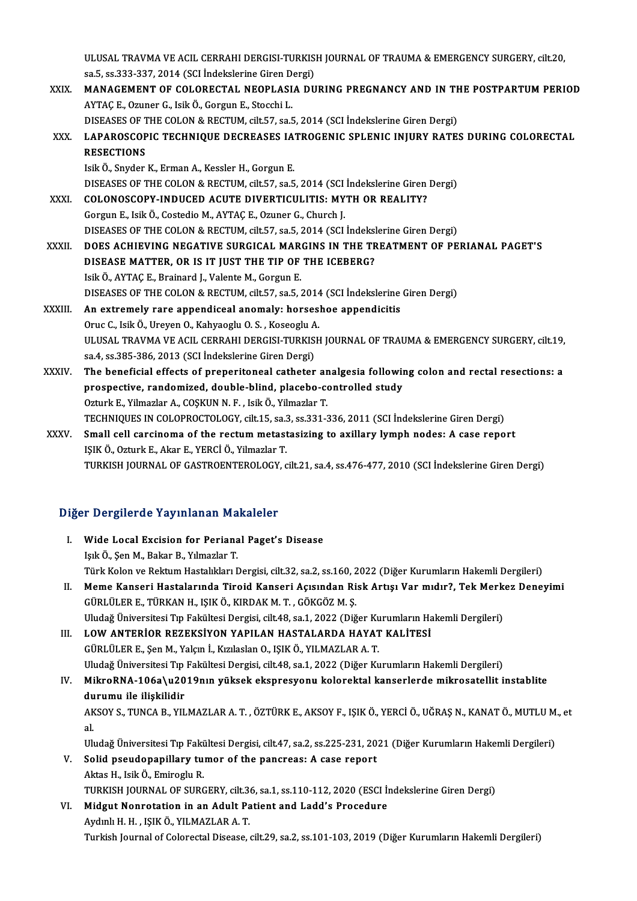ULUSAL TRAVMA VE ACIL CERRAHI DERGISI-TURKISH JOURNAL OF TRAUMA & EMERGENCY SURGERY, cilt.20,<br>33 5, 55,333,337, 2014 (SCLIndeliglerine Giron Dergi) ULUSAL TRAVMA VE ACIL CERRAHI DERGISI-TURKIS<br>sa.5, ss.333-337, 2014 (SCI İndekslerine Giren Dergi)<br>MANACEMENT OE COLOBECTAL NEORLASIA DIL

ULUSAL TRAVMA VE ACIL CERRAHI DERGISI-TURKISH JOURNAL OF TRAUMA & EMERGENCY SURGERY, cilt.20,<br>sa.5, ss.333-337, 2014 (SCI Indekslerine Giren Dergi)<br>XXIX. MANAGEMENT OF COLORECTAL NEOPLASIA DURING PREGNANCY AND IN THE POSTP sa.5, ss.333-337, 2014 (SCI İndekslerine Giren Dergi)<br>MANAGEMENT OF COLORECTAL NEOPLASIA DURING PREGNANCY AND IN TI<br>AYTAÇ E., Ozuner G., Isik Ö., Gorgun E., Stocchi L.<br>DISEASES OF THE COLON & RECTUM, cilt.57, sa.5, 2014 (S MANAGEMENT OF COLORECTAL NEOPLASIA DURING PREGNANCY AND IN TH<br>AYTAÇ E., Ozuner G., Isik Ö., Gorgun E., Stocchi L.<br>DISEASES OF THE COLON & RECTUM, cilt.57, sa.5, 2014 (SCI İndekslerine Giren Dergi)<br>LABAROSCORIC TECHNIQUE DE AYTAÇ E., Ozuner G., Isik Ö., Gorgun E., Stocchi L.<br>DISEASES OF THE COLON & RECTUM, cilt.57, sa.5, 2014 (SCI İndekslerine Giren Dergi)<br>XXX. LAPAROSCOPIC TECHNIQUE DECREASES IATROGENIC SPLENIC INJURY RATES DURING COLORE DISEASES OF T<br>LAPAROSCOP<br>RESECTIONS<br>Jsik Ö. Spyder LAPAROSCOPIC TECHNIQUE DECREASES IA<br>RESECTIONS<br>Isik Ö., Snyder K., Erman A., Kessler H., Gorgun E.<br>DISEASES OF THE COLON & RECTIIM silt 57, SR 5 RESECTIONS<br>Isik Ö., Snyder K., Erman A., Kessler H., Gorgun E.<br>DISEASES OF THE COLON & RECTUM, cilt.57, sa.5, 2014 (SCI İndekslerine Giren Dergi)<br>COLONOSCOPY INDUCED ACUTE DIVERTICULUTIS. MYTH OR REALITY? Isik Ö., Snyder K., Erman A., Kessler H., Gorgun E.<br>DISEASES OF THE COLON & RECTUM, cilt.57, sa.5, 2014 (SCI İndekslerine Giren<br>XXXI. COLONOSCOPY-INDUCED ACUTE DIVERTICULITIS: MYTH OR REALITY?<br>Gorgun E., Isik Ö., Costedio DISEASES OF THE COLON & RECTUM, cilt.57, sa.5, 2014 (SCI<br>COLONOSCOPY-INDUCED ACUTE DIVERTICULITIS: MY<br>Gorgun E., Isik Ö., Costedio M., AYTAÇ E., Ozuner G., Church J.<br>DISEASES OF THE COLON & RECTIM, gilt.57, sa.5, 2014 (SCI DISEASES OF THE COLON & RECTUM, cilt.57, sa.5, 2014 (SCI İndekslerine Giren Dergi) XXXII. DOES ACHIEVING NEGATIVE SURGICAL MARGINS IN THE TREATMENT OF PERIANAL PAGET'S DISEASES OF THE COLON & RECTUM, cilt.57, sa.5, 2014 (SCI İndeksi<br>DOES ACHIEVING NEGATIVE SURGICAL MARGINS IN THE TF<br>DISEASE MATTER, OR IS IT JUST THE TIP OF THE ICEBERG?<br>Jail Ö. AYTAC E. Prainard J. Valanta M. Cargun E. DOES ACHIEVING NEGATIVE SURGICAL MART<br>DISEASE MATTER, OR IS IT JUST THE TIP OF<br>Isik Ö., AYTAÇ E., Brainard J., Valente M., Gorgun E.<br>DISEASES OF THE COLON & RECTIM Gilt EZ CO. E. DISEASE MATTER, OR IS IT JUST THE TIP OF THE ICEBERG?<br>Isik Ö., AYTAÇ E., Brainard J., Valente M., Gorgun E.<br>DISEASES OF THE COLON & RECTUM, cilt.57, sa.5, 2014 (SCI İndekslerine Giren Dergi)<br>An extremely rare annondiseal a Isik Ö., AYTAÇ E., Brainard J., Valente M., Gorgun E.<br>DISEASES OF THE COLON & RECTUM, cilt.57, sa.5, 2014 (SCI Indekslerine<br>XXXIII. An extremely rare appendiceal anomaly: horseshoe appendicitis DISEASES OF THE COLON & RECTUM, cilt.57, sa.5, 2014<br>An extremely rare appendiceal anomaly: horses.<br>Oruc C., Isik Ö., Ureyen O., Kahyaoglu O. S. , Koseoglu A.<br>ULUSAL TRAVMA VE ACU, CERRAHI DERCISI TURKISH An extremely rare appendiceal anomaly: horseshoe appendicitis<br>Oruc C., Isik Ö., Ureyen O., Kahyaoglu O. S. , Koseoglu A.<br>ULUSAL TRAVMA VE ACIL CERRAHI DERGISI-TURKISH JOURNAL OF TRAUMA & EMERGENCY SURGERY, cilt.19, sa.4, ss.385-386, 2013 (SCI İndekslerine Giren Dergi) ULUSAL TRAVMA VE ACIL CERRAHI DERGISI-TURKISH JOURNAL OF TRAUMA & EMERGENCY SURGERY, cilt.19,<br>sa.4, ss.385-386, 2013 (SCI indekslerine Giren Dergi)<br>XXXIV. The beneficial effects of preperitoneal catheter analgesia followin sa.4, ss.385-386, 2013 (SCI İndekslerine Giren Dergi)<br>The beneficial effects of preperitoneal catheter analgesia followin<br>prospective, randomized, double-blind, placebo-controlled study<br>Orturk E. Vilmazlar A. COSKUN N.E. J The beneficial effects of preperitoneal catheter ar<br>prospective, randomized, double-blind, placebo-co<br>Ozturk E., Yilmazlar A., COSKUN N. F. , Isik Ö., Yilmazlar T.<br>TECHNIQUES IN COLOPPOCTOLOCY silt 15, 83,3,53231.3 prospective, randomized, double-blind, placebo-controlled study<br>Ozturk E., Yilmazlar A., COŞKUN N. F. , Isik Ö., Yilmazlar T.<br>TECHNIQUES IN COLOPROCTOLOGY, cilt.15, sa.3, ss.331-336, 2011 (SCI İndekslerine Giren Dergi)<br>Sma Ozturk E., Yilmazlar A., COŞKUN N. F. , Isik Ö., Yilmazlar T.<br>TECHNIQUES IN COLOPROCTOLOGY, cilt.15, sa.3, ss.331-336, 2011 (SCI İndekslerine Giren Dergi)<br>XXXV. Small cell carcinoma of the rectum metastasizing to axillary TECHNIQUES IN COLOPROCTOLOGY, cilt.15, sa.:<br>Small cell carcinoma of the rectum metast<br>IŞIK Ö., Ozturk E., Akar E., YERCİ Ö., Yilmazlar T.<br>TURKISH JOURNAL OF CASTROENTEROLOCY Small cell carcinoma of the rectum metastasizing to axillary lymph nodes: A case report<br>IŞIK Ö., Ozturk E., Akar E., YERCİ Ö., Yilmazlar T.<br>TURKISH JOURNAL OF GASTROENTEROLOGY, cilt.21, sa.4, ss.476-477, 2010 (SCI İndeksle

### Diğer Dergilerde Yayınlanan Makaleler

- iğer Dergilerde Yayınlanan Makaleler<br>I. Wide Local Excision for Perianal Paget's Disease Islam Islam Islam Islam Islam Islam<br>Işık Ö., Şen M., Bakar B., Yılmazlar T.<br>Türk Kolon ve Bektum Hestelikler. L Işık Ö., Şen M., Bakar B., Yılmazlar T.<br>Türk Kolon ve Rektum Hastalıkları Dergisi, cilt.32, sa.2, ss.160, 2022 (Diğer Kurumların Hakemli Dergileri) Işık Ö., Şen M., Bakar B., Yılmazlar T.<br>Türk Kolon ve Rektum Hastalıkları Dergisi, cilt.32, sa.2, ss.160, 2022 (Diğer Kurumların Hakemli Dergileri)<br>II. Meme Kanseri Hastalarında Tiroid Kanseri Açısından Risk Artışı Var mıd
- Türk Kolon ve Rektum Hastalıkları Dergisi, cilt.32, sa.2, ss.160, 2<br>Meme Kanseri Hastalarında Tiroid Kanseri Açısından Ri<br>GÜRLÜLER E., TÜRKAN H., IŞIK Ö., KIRDAK M.T. , GÖKGÖZ M.Ş.<br>Uludağ Üniversitesi Tın Fakültesi Dergisi Meme Kanseri Hastalarında Tiroid Kanseri Açısından Risk Artışı Var mıdır?, Tek Merk<br>GÜRLÜLER E., TÜRKAN H., IŞIK Ö., KIRDAK M. T. , GÖKGÖZ M. Ş.<br>Uludağ Üniversitesi Tıp Fakültesi Dergisi, cilt.48, sa.1, 2022 (Diğer Kurumla GÜRLÜLER E., TÜRKAN H., IŞIK Ö., KIRDAK M. T. , GÖKGÖZ M. Ş.<br>Uludağ Üniversitesi Tıp Fakültesi Dergisi, cilt.48, sa.1, 2022 (Diğer Kurumların Hakemli Dergileri)<br>III. LOW ANTERİOR REZEKSİYON YAPILAN HASTALARDA HAYAT KAL

GÜRLÜLERE.,ŞenM.,Yalçınİ.,KızılaslanO., IŞIKÖ.,YILMAZLARA.T. LOW ANTERİOR REZEKSİYON YAPILAN HASTALARDA HAYAT KALİTESİ<br>GÜRLÜLER E., Şen M., Yalçın İ., Kızılaslan O., IŞIK Ö., YILMAZLAR A. T.<br>Uludağ Üniversitesi Tıp Fakültesi Dergisi, cilt.48, sa.1, 2022 (Diğer Kurumların Hakemli Der GÜRLÜLER E., Şen M., Yalçın İ., Kızılaslan O., IŞIK Ö., YILMAZLAR A. T.<br>Uludağ Üniversitesi Tıp Fakültesi Dergisi, cilt.48, sa.1, 2022 (Diğer Kurumların Hakemli Dergileri)<br>IV. MikroRNA-106a\u2019nın yüksek ekspresyonu

Uludağ Üniversitesi Tıp<br>MikroRNA-106a\u20<br>durumu ile ilişkilidir<br>AKSOV S. TUNCA B. VU MikroRNA-106a\u2019nın yüksek ekspresyonu kolorektal kanserlerde mikrosatellit instablite<br>durumu ile ilişkilidir<br>AKSOY S., TUNCA B., YILMAZLAR A. T. , ÖZTÜRK E., AKSOY F., IŞIK Ö., YERCİ Ö., UĞRAŞ N., KANAT Ö., MUTLU M., e

du<br>AK<br>al. AKSOY S., TUNCA B., YILMAZLAR A. T. , ÖZTÜRK E., AKSOY F., IŞIK Ö., YERCİ Ö., UĞRAŞ N., KANAT Ö., MUTLU M., et<br>al.

Uludağ Üniversitesi Tıp Fakültesi Dergisi, cilt.47, sa.2, ss.225-231, 2021 (Diğer Kurumların Hakemli Dergileri)

## V. Solid pseudopapillary tumor of the pancreas: A case report<br>Aktas H., Isik Ö., Emiroglu R. Solid pseudopapillary tumor of the pancreas: A case report<br>Aktas H., Isik Ö., Emiroglu R.<br>TURKISH JOURNAL OF SURGERY, cilt.36, sa.1, ss.110-112, 2020 (ESCI İndekslerine Giren Dergi)<br>Midaut Nonnetation in an Adult Patient a Aktas H., Isik Ö., Emiroglu R.<br>TURKISH JOURNAL OF SURGERY, cilt.36, sa.1, ss.110-112, 2020 (ESCI İn<br>VI. Midgut Nonrotation in an Adult Patient and Ladd's Procedure<br>Arduhl H. H. ISIK Ö. VII MAZI AR A. T

# TURKISH JOURNAL OF SURGERY, cilt.3<br>Midgut Nonrotation in an Adult Pa<br>Aydınlı H. H. , IŞIK Ö., YILMAZLAR A. T.<br>Turkish Journal of Colorestal Disease VI. Midgut Nonrotation in an Adult Patient and Ladd's Procedure<br>Aydınlı H. H. , IŞIK Ö., YILMAZLAR A. T.<br>Turkish Journal of Colorectal Disease, cilt.29, sa.2, ss.101-103, 2019 (Diğer Kurumların Hakemli Dergileri)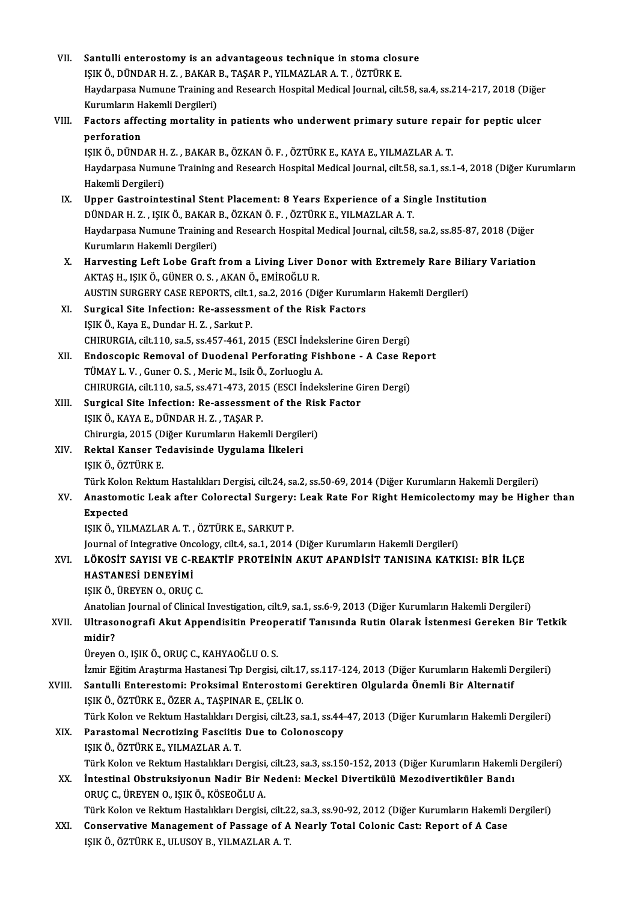| VII.   | Santulli enterostomy is an advantageous technique in stoma closure                                                                           |
|--------|----------------------------------------------------------------------------------------------------------------------------------------------|
|        | IŞIK Ö., DÜNDAR H. Z., BAKAR B., TAŞAR P., YILMAZLAR A. T., ÖZTÜRK E.                                                                        |
|        | Haydarpasa Numune Training and Research Hospital Medical Journal, cilt.58, sa.4, ss.214-217, 2018 (Diğer                                     |
|        | Kurumların Hakemli Dergileri)                                                                                                                |
| VIII.  | Factors affecting mortality in patients who underwent primary suture repair for peptic ulcer                                                 |
|        | perforation                                                                                                                                  |
|        | IŞIK Ö., DÜNDAR H. Z., BAKAR B., ÖZKAN Ö. F., ÖZTÜRK E., KAYA E., YILMAZLAR A. T.                                                            |
|        | Haydarpasa Numune Training and Research Hospital Medical Journal, cilt.58, sa.1, ss.1-4, 2018 (Diğer Kurumların<br>Hakemli Dergileri)        |
| IX.    | Upper Gastrointestinal Stent Placement: 8 Years Experience of a Single Institution                                                           |
|        | DÜNDAR H. Z., IŞIK Ö., BAKAR B., ÖZKAN Ö. F., ÖZTÜRK E., YILMAZLAR A. T.                                                                     |
|        | Haydarpasa Numune Training and Research Hospital Medical Journal, cilt.58, sa.2, ss.85-87, 2018 (Diğer                                       |
|        | Kurumların Hakemli Dergileri)                                                                                                                |
| X.     | Harvesting Left Lobe Graft from a Living Liver Donor with Extremely Rare Biliary Variation                                                   |
|        | AKTAŞ H., IŞIK Ö., GÜNER O. S. , AKAN Ö., EMİROĞLU R.                                                                                        |
|        | AUSTIN SURGERY CASE REPORTS, cilt.1, sa.2, 2016 (Diğer Kurumların Hakemli Dergileri)                                                         |
| XI.    | Surgical Site Infection: Re-assessment of the Risk Factors                                                                                   |
|        | IŞIK Ö., Kaya E., Dundar H. Z., Sarkut P.                                                                                                    |
|        | CHIRURGIA, cilt.110, sa.5, ss.457-461, 2015 (ESCI İndekslerine Giren Dergi)                                                                  |
| XII.   | Endoscopic Removal of Duodenal Perforating Fishbone - A Case Report                                                                          |
|        | TÜMAY L.V., Guner O.S., Meric M., Isik Ö., Zorluoglu A.                                                                                      |
|        | CHIRURGIA, cilt.110, sa.5, ss.471-473, 2015 (ESCI İndekslerine Giren Dergi)                                                                  |
| XIII.  | Surgical Site Infection: Re-assessment of the Risk Factor                                                                                    |
|        | IŞIK Ö., KAYA E., DÜNDAR H. Z., TAŞAR P.                                                                                                     |
|        | Chirurgia, 2015 (Diğer Kurumların Hakemli Dergileri)                                                                                         |
| XIV.   | Rektal Kanser Tedavisinde Uygulama İlkeleri<br>IŞIK Ö., ÖZTÜRK E.                                                                            |
|        | Türk Kolon Rektum Hastalıkları Dergisi, cilt.24, sa.2, ss.50-69, 2014 (Diğer Kurumların Hakemli Dergileri)                                   |
| XV.    | Anastomotic Leak after Colorectal Surgery: Leak Rate For Right Hemicolectomy may be Higher than                                              |
|        | Expected                                                                                                                                     |
|        | IŞIK Ö., YILMAZLAR A. T., ÖZTÜRK E., SARKUT P.                                                                                               |
|        | Journal of Integrative Oncology, cilt.4, sa.1, 2014 (Diğer Kurumların Hakemli Dergileri)                                                     |
| XVI.   | LÖKOSİT SAYISI VE C-REAKTİF PROTEİNİN AKUT APANDİSİT TANISINA KATKISI: BİR İLÇE                                                              |
|        | HASTANESİ DENEYİMİ                                                                                                                           |
|        | IŞIK Ö., ÜREYEN O., ORUÇ C.                                                                                                                  |
|        | Anatolian Journal of Clinical Investigation, cilt.9, sa.1, ss.6-9, 2013 (Diğer Kurumların Hakemli Dergileri)                                 |
| XVII.  | Ultrasonografi Akut Appendisitin Preoperatif Tanısında Rutin Olarak İstenmesi Gereken Bir Tetkik                                             |
|        | midir?                                                                                                                                       |
|        | Üreyen O., IŞIK Ö., ORUÇ C., KAHYAOĞLU O. S.                                                                                                 |
|        | İzmir Eğitim Araştırma Hastanesi Tıp Dergisi, cilt.17, ss.117-124, 2013 (Diğer Kurumların Hakemli Dergileri)                                 |
| XVIII. | Santulli Enterestomi: Proksimal Enterostomi Gerektiren Olgularda Önemli Bir Alternatif<br>IŞIK Ö., ÖZTÜRK E., ÖZER A., TAŞPINAR E., ÇELİK O. |
|        | Türk Kolon ve Rektum Hastalıkları Dergisi, cilt.23, sa.1, ss.44-47, 2013 (Diğer Kurumların Hakemli Dergileri)                                |
| XIX.   | Parastomal Necrotizing Fasciitis Due to Colonoscopy                                                                                          |
|        | IŞIK Ö., ÖZTÜRK E., YILMAZLAR A.T.                                                                                                           |
|        | Türk Kolon ve Rektum Hastalıkları Dergisi, cilt.23, sa.3, ss.150-152, 2013 (Diğer Kurumların Hakemli Dergileri)                              |
| XX.    | İntestinal Obstruksiyonun Nadir Bir Nedeni: Meckel Divertikülü Mezodivertiküler Bandı                                                        |
|        | ORUÇ C., ÜREYEN O., IŞIK Ö., KÖSEOĞLU A.                                                                                                     |
|        | Türk Kolon ve Rektum Hastalıkları Dergisi, cilt.22, sa.3, ss.90-92, 2012 (Diğer Kurumların Hakemli Dergileri)                                |
| XXI.   | Conservative Management of Passage of A Nearly Total Colonic Cast: Report of A Case<br>IŞIK Ö., ÖZTÜRK E., ULUSOY B., YILMAZLAR A.T.         |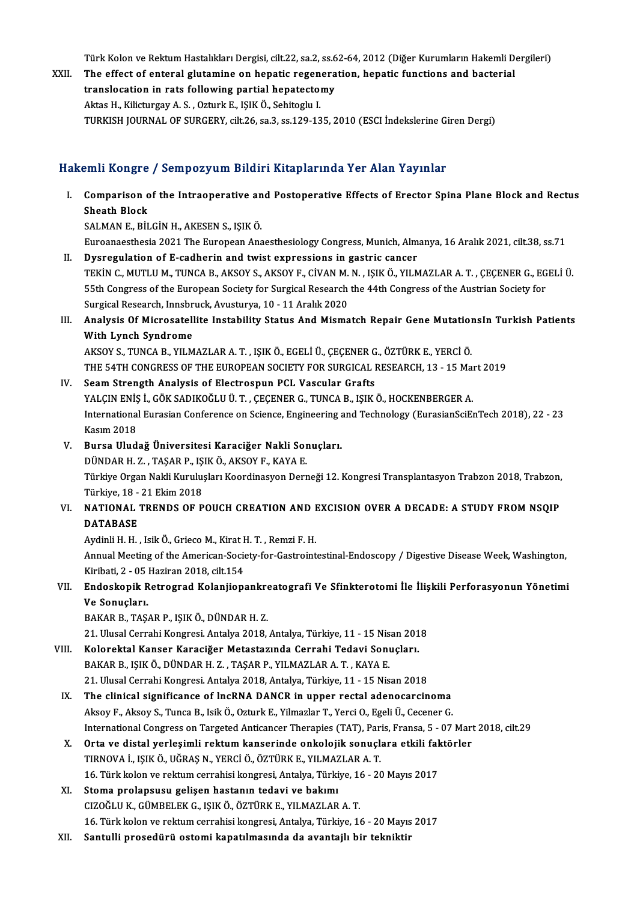Türk Kolon ve Rektum Hastalıkları Dergisi, cilt.22, sa.2, ss.62-64, 2012 (Diğer Kurumların Hakemli Dergileri)<br>The effest of enteral slutamine en benatis reseneration, benatis functions and basterial

Türk Kolon ve Rektum Hastalıkları Dergisi, cilt.22, sa.2, ss.62-64, 2012 (Diğer Kurumların Hakemli D<br>XXII. The effect of enteral glutamine on hepatic regeneration, hepatic functions and bacterial<br>translagation in nata Türk Kolon ve Rektum Hastalıkları Dergisi, cilt.22, sa.2, ss.6<br>The effect of enteral glutamine on hepatic regenera<br>translocation in rats following partial hepatectomy<br>Altes H. Kilistungay A.S., Ortunk E. ISIK Ö. Sebiteglu The effect of enteral glutamine on hepatic regeneration, hepatic functions and bacterial<br>translocation in rats following partial hepatectomy<br>Aktas H., Kilicturgay A. S. , Ozturk E., IŞIK Ö., Sehitoglu I. TURKISHJOURNALOF SURGERY, cilt.26, sa.3, ss.129-135,2010 (ESCI İndekslerineGirenDergi)

#### HakemliKongre / SempozyumBildiriKitaplarında Yer Alan Yayınlar

akemli Kongre / Sempozyum Bildiri Kitaplarında Yer Alan Yayınlar<br>I. Comparison of the Intraoperative and Postoperative Effects of Erector Spina Plane Block and Rectus<br>Sheeth Block Shin Rongre<br>Comparison of<br>Sheath Block<br>SALMAN E. Pit Sheath Block<br>SALMAN E., BİLGİN H., AKESEN S., IŞIK Ö.

Euroanaesthesia 2021 The European Anaesthesiology Congress, Munich, Almanya, 16 Aralık 2021, cilt.38, ss.71

- II. Dysregulation of E-cadherin and twist expressions in gastric cancer Euroanaesthesia 2021 The European Anaesthesiology Congress, Munich, Almanya, 16 Aralık 2021, cilt.38, ss.71<br>Dysregulation of E-cadherin and twist expressions in gastric cancer<br>TEKİN C., MUTLU M., TUNCA B., AKSOY S., AKSOY Dysregulation of E-cadherin and twist expressions in gastric cancer<br>TEKİN C., MUTLU M., TUNCA B., AKSOY S., AKSOY F., CİVAN M. N. , IŞIK Ö., YILMAZLAR A. T. , ÇEÇENER G., EG<br>55th Congress of the European Society for Surgic TEKİN C., MUTLU M., TUNCA B., AKSOY S., AKSOY F., CİVAN M.<br>55th Congress of the European Society for Surgical Research<br>Surgical Research, Innsbruck, Avusturya, 10 - 11 Aralık 2020<br>Analyaia Of Mispeestellite Instability Sta 55th Congress of the European Society for Surgical Research the 44th Congress of the Austrian Society for<br>Surgical Research, Innsbruck, Avusturya, 10 - 11 Aralık 2020<br>III. Analysis Of Microsatellite Instability Status And
- Surgical Research, Innsbr<br>Analysis Of Microsatell<br>With Lynch Syndrome<br>AKSOV S. TUNCA B. VU M Analysis Of Microsatellite Instability Status And Mismatch Repair Gene Mutation<br>With Lynch Syndrome<br>AKSOY S., TUNCA B., YILMAZLAR A. T. , IŞIK Ö., EGELİ Ü., ÇEÇENER G., ÖZTÜRK E., YERCİ Ö.<br>THE 54TH CONCRESS OF THE FUROREAN

With Lynch Syndrome<br>AKSOY S., TUNCA B., YILMAZLAR A. T. , IŞIK Ö., EGELİ Ü., ÇEÇENER G., ÖZTÜRK E., YERCİ Ö.<br>THE 54TH CONGRESS OF THE EUROPEAN SOCIETY FOR SURGICAL RESEARCH, 13 - 15 Mart 2019

#### IV. Seam Strength Analysis of Electrospun PCL Vascular Grafts

YALÇIN ENİŞ İ., GÖK SADIKOĞLU Ü. T., ÇEÇENER G., TUNCA B., IŞIK Ö., HOCKENBERGER A. Seam Strength Analysis of Electrospun PCL Vascular Grafts<br>YALÇIN ENİŞ İ., GÖK SADIKOĞLU Ü. T. , ÇEÇENER G., TUNCA B., IŞIK Ö., HOCKENBERGER A.<br>International Eurasian Conference on Science, Engineering and Technology (Euras YALÇIN ENİŞ<br>Internationa<br>Kasım 2018<br>Purso Illud International Eurasian Conference on Science, Engineering a<br>Kasım 2018<br>V. Bursa Uludağ Üniversitesi Karaciğer Nakli Sonuçları.<br>DÜNDAR H. Z. TASAR R. ISIKÖ AKSOVE KAVA E Kasım 2018<br>Bursa Uludağ Üniversitesi Karaciğer Nakli Sor<br>DÜNDAR H. Z. , TAŞAR P., IŞIK Ö., AKSOY F., KAYA E.<br>Türkiye Organ Nakli Kurulusları Kaordinasyan Derr

DÜNDAR H. Z., TAŞAR P., IŞIK Ö., AKSOY F., KAYA E.

Türkiye Organ Nakli Kuruluşları Koordinasyon Derneği 12. Kongresi Transplantasyon Trabzon 2018, Trabzon,<br>Türkiye, 18 - 21 Ekim 2018 Türkiye Organ Nakli Kuruluşları Koordinasyon Derneği 12. Kongresi Transplantasyon Trabzon 2018, Trabzon,<br>Türkiye, 18 - 21 Ekim 2018<br>VI. NATIONAL TRENDS OF POUCH CREATION AND EXCISION OVER A DECADE: A STUDY FROM NSQIP<br>DATAB

# Türkiye, 18 -<br>NATIONAL<br>DATABASE<br>Avdinli H NATIONAL TRENDS OF POUCH CREATION AND I<br>DATABASE<br>Aydinli H. H. , Isik Ö., Grieco M., Kirat H. T. , Remzi F. H.<br>Annual Mosting of the American Society for Costreint

Aydinli H. H., Isik Ö., Grieco M., Kirat H. T., Remzi F. H.

DATABASE<br>Aydinli H. H. , Isik Ö., Grieco M., Kirat H. T. , Remzi F. H.<br>Annual Meeting of the American-Society-for-Gastrointestinal-Endoscopy / Digestive Disease Week, Washington,<br>Kiribati, 2 - 05 Haziran 2018, cilt.154 Annual Meeting of the American-Society-for-Gastrointestinal-Endoscopy / Digestive Disease Week, Washington,<br>Kiribati, 2 - 05 Haziran 2018, cilt.154<br>VII. Endoskopik Retrograd Kolanjiopankreatografi Ve Sfinkterotomi İle

Kiribati, 2 - 05<br>Endoskopik R<br>Ve Sonuçları.<br>PAKAP P. TAS. Endoskopik Retrograd Kolanjiopankre<br>Ve Sonuçları.<br>BAKAR B., TAŞAR P., IŞIK Ö., DÜNDAR H. Z.<br>21. Ulucal Carrabi Kongresi, Antalya 2019 Ve Sonuçları.<br>BAKAR B., TAŞAR P., IŞIK Ö., DÜNDAR H. Z.<br>21. Ulusal Cerrahi Kongresi. Antalya 2018, Antalya, Türkiye, 11 - 15 Nisan 2018

BAKAR B., TAŞAR P., IŞIK Ö., DÜNDAR H. Z.<br>21. Ulusal Cerrahi Kongresi. Antalya 2018, Antalya, Türkiye, 11 - 15 Nisan 201<br>11. Kolorektal Kanser Karaciğer Metastazında Cerrahi Tedavi Sonuçları.<br>12. KAYAR R. ISIN D. BAKAR B. BAKAR B., IŞIK Ö., DÜNDAR H. Z., TAŞAR P., YILMAZLAR A. T., KAYA E.<br>21. Ulusal Cerrahi Kongresi. Antalya 2018, Antalya, Türkiye, 11 - 15 Nisan 2018 Kolorektal Kanser Karaciğer Metastazında Cerrahi Tedavi Sonuçları.<br>BAKAR B., IŞIK Ö., DÜNDAR H. Z. , TAŞAR P., YILMAZLAR A. T. , KAYA E.<br>21. Ulusal Cerrahi Kongresi. Antalya 2018, Antalya, Türkiye, 11 - 15 Nisan 2018<br>The e

- IX. The clinical significance of lncRNA DANCR in upper rectal adenocarcinoma AksoyF.,Aksoy S.,TuncaB., IsikÖ.,OzturkE.,YilmazlarT.,YerciO.,EgeliÜ.,CecenerG. International Congress on Targeted Anticancer Therapies (TAT), Paris, Fransa, 5 - 07 Mart 2018, cilt.29 Aksoy F., Aksoy S., Tunca B., Isik Ö., Ozturk E., Yilmazlar T., Yerci O., Egeli Ü., Cecener G.<br>International Congress on Targeted Anticancer Therapies (TAT), Paris, Fransa, 5 - 07 Mart<br>X. Orta ve distal yerleşimli rektum k
- International Congress on Targeted Anticancer Therapies (TAT), Par<br>Orta ve distal yerleşimli rektum kanserinde onkolojik sonuçlı<br>TIRNOVA İ., IŞIK Ö., UĞRAŞ N., YERCİ Ö., ÖZTÜRK E., YILMAZLAR A. T.<br>16. Türk kolon ve rektum Orta ve distal yerleşimli rektum kanserinde onkolojik sonuçlara etkili fak<br>TIRNOVA İ., IŞIK Ö., UĞRAŞ N., YERCİ Ö., ÖZTÜRK E., YILMAZLAR A. T.<br>16. Türk kolon ve rektum cerrahisi kongresi, Antalya, Türkiye, 16 - 20 Mayıs 20 TIRNOVA İ., IŞIK Ö., UĞRAŞ N., YERCİ Ö., ÖZTÜRK E., YILMAZLAR A. T.<br>16. Türk kolon ve rektum cerrahisi kongresi, Antalya, Türkiye, 16 - 20 Mayıs 2017<br>XI. Stoma prolapsusu gelişen hastanın tedavi ve bakımı
- CIZOĞLUK.,GÜMBELEKG., IŞIKÖ.,ÖZTÜRKE.,YILMAZLARA.T. 16. Türk kolon ve rektum cerrahisi kongresi, Antalya, Türkiye, 16 - 20 Mayıs 2017
- XII. Santulli prosedürü ostomi kapatılmasında da avantajlı bir tekniktir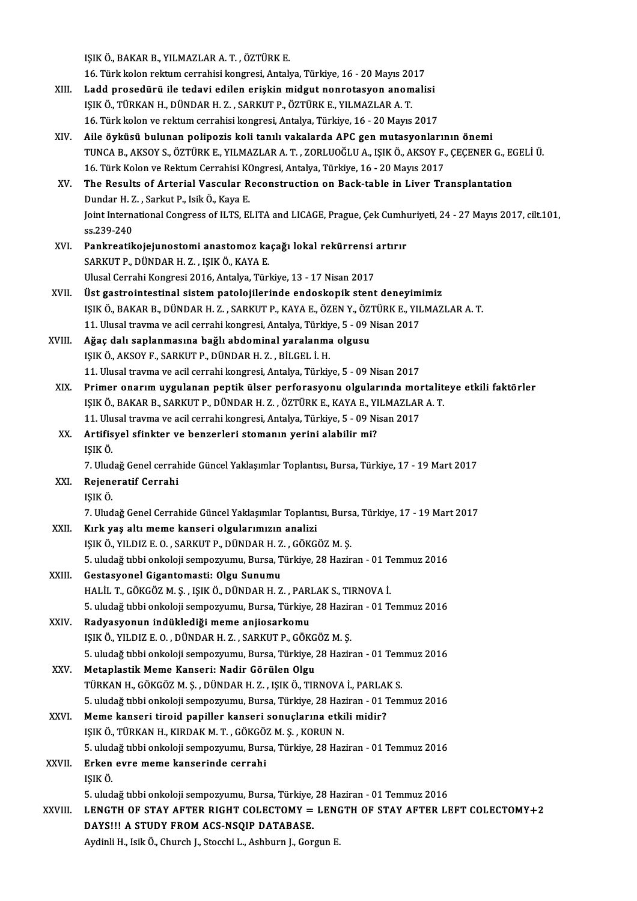IŞIKÖ.,BAKARB.,YILMAZLARA.T. ,ÖZTÜRKE.

15IK Ö., BAKAR B., YILMAZLAR A. T. , ÖZTÜRK E.<br>16. Türk kolon rektum cerrahisi kongresi, Antalya, Türkiye, 16 - 20 Mayıs 2017<br>Ladd nrasadürü ile tadayi adilen eriskin midayt nennetasyon enemeli

- XIII. Ladd prosedürü ile tedavi edilen erişkin midgut nonrotasyon anomalisi<br>IŞIK Ö., TÜRKAN H., DÜNDAR H. Z., SARKUT P., ÖZTÜRK E., YILMAZLAR A. T. 16. Türk kolon rektum cerrahisi kongresi, Antalya, Türkiye, 16 - 20 Mayıs 20<br>Ladd prosedürü ile tedavi edilen erişkin midgut nonrotasyon anom<br>IŞIK Ö., TÜRKAN H., DÜNDAR H. Z. , SARKUT P., ÖZTÜRK E., YILMAZLAR A. T.<br>16. Tür 16. Türk kolon ve rektum cerrahisi kongresi, Antalya, Türkiye, 16 - 20 Mayıs 2017
- XIV. Aile öyküsü bulunan polipozis koli tanılı vakalarda APC genmutasyonlarının önemi 16. Türk kolon ve rektum cerrahisi kongresi, Antalya, Türkiye, 16 - 20 Mayıs 2017<br>Aile öyküsü bulunan polipozis koli tanılı vakalarda APC gen mutasyonlarının önemi<br>TUNCA B., AKSOY S., ÖZTÜRK E., YILMAZLAR A. T. , ZORLUOĞLU Aile öyküsü bulunan polipozis koli tanılı vakalarda APC gen mutasyonlarır<br>TUNCA B., AKSOY S., ÖZTÜRK E., YILMAZLAR A. T. , ZORLUOĞLU A., IŞIK Ö., AKSOY F.,<br>16. Türk Kolon ve Rektum Cerrahisi KOngresi, Antalya, Türkiye, 16 TUNCA B., AKSOY S., ÖZTÜRK E., YILMAZLAR A. T. , ZORLUOĞLU A., IŞIK Ö., AKSOY F., ÇEÇENER G., E.<br>16. Türk Kolon ve Rektum Cerrahisi KOngresi, Antalya, Türkiye, 16 - 20 Mayıs 2017<br>XV. The Results of Arterial Vascular Recons 16. Türk Kolon ve Rektum Cerrahisi KOngresi, Antalya, Türkiye, 16 - 20 Mayıs 2017<br>The Results of Arterial Vascular Reconstruction on Back-table in Liver Transplantation
- Joint International Congress of ILTS, ELITA and LICAGE, Prague, Çek Cumhuriyeti, 24 27 Mayıs 2017, cilt.101,<br>ss.239-240 Dundar H. Z., Sarkut P., Isik Ö., Kaya E.
- XVI. Pankreatikojejunostomi anastomoz kaçağı lokal rekürrensi artırır SARKUTP., DÜNDAR H. Z., IŞIKÖ., KAYA E. Ulusal Cerrahi Kongresi 2016, Antalya, Türkiye, 13 - 17 Nisan 2017
- SARKUT P., DÜNDAR H. Z. , IŞIK Ö., KAYA E.<br>Ulusal Cerrahi Kongresi 2016, Antalya, Türkiye, 13 17 Nisan 2017<br>XVII. Üst gastrointestinal sistem patolojilerinde endoskopik stent deneyimimiz<br>ISIK Ö. BAKAR B. DÜNDAR H. Z. SAR IŞIK Ö., BAKAR B., DÜNDAR H. Z. , SARKUT P., KAYA E., ÖZEN Y., ÖZTÜRK E., YILMAZLAR A. T.<br>11. Ulusal travma ve acil cerrahi kongresi, Antalya, Türkiye, 5 - 09 Nisan 2017 Üst gastrointestinal sistem patolojilerinde endoskopik stent deneyim<br>IŞIK Ö., BAKAR B., DÜNDAR H. Z. , SARKUT P., KAYA E., ÖZEN Y., ÖZTÜRK E., YIL<br>11. Ulusal travma ve acil cerrahi kongresi, Antalya, Türkiye, 5 - 09 Nisan
- XVIII. Ağaç dalı saplanmasına bağlı abdominal yaralanma olgusu IŞIKÖ.,AKSOYF.,SARKUTP.,DÜNDARH.Z. ,BİLGEL İ.H. 11. Ulusal travma ve acil cerrahi kongresi, Antalya, Türkiye, 5 - 09 Nisan 2017
- XIX. Primer onarımuygulanan peptik ülser perforasyonu olgularındamortaliteye etkili faktörler 11. Ulusal travma ve acil cerrahi kongresi, Antalya, Türkiye, 5 - 09 Nisan 2017<br>Primer onarım uygulanan peptik ülser perforasyonu olgularında mortalit<br>IŞIK Ö., BAKAR B., SARKUT P., DÜNDAR H. Z. , ÖZTÜRK E., KAYA E., YILMAZ Primer onarım uygulanan peptik ülser perforasyonu olgularında molesik<br>151K Ö., BAKAR B., SARKUT P., DÜNDAR H. Z. , ÖZTÜRK E., KAYA E., YILMAZLAR<br>11. Ulusal travma ve acil cerrahi kongresi, Antalya, Türkiye, 5 - 09 Nisan 20 IŞIK Ö., BAKAR B., SARKUT P., DÜNDAR H. Z. , ÖZTÜRK E., KAYA E., YI<br>11. Ulusal travma ve acil cerrahi kongresi, Antalya, Türkiye, 5 - 09 Ni<br>XX. Artifisyel sfinkter ve benzerleri stomanın yerini alabilir mi?<br>ISIK Ö
- 11. Ulusal travma ve acil cerrahi kongresi, Antalya, Türkiye, 5 09 Nisan 2017<br>XX. Artifisyel sfinkter ve benzerleri stomanın yerini alabilir mi?<br>ISIK Ö. Artifisyel sfinkter ve benzerleri stomanın yerini alabilir mi?<br>IŞIK Ö.<br>7. Uludağ Genel cerrahide Güncel Yaklaşımlar Toplantısı, Bursa, Türkiye, 17 - 19 Mart 2017<br>Pejanaratif Carrahi

7. Ulud<br>Rejene<br>IŞIK Ö.<br>7. Ulud

XXI. Rejeneratif Cerrahi

Rejeneratif Cerrahi<br>IŞIK Ö.<br>7. Uludağ Genel Cerrahide Güncel Yaklaşımlar Toplantısı, Bursa, Türkiye, 17 - 19 Mart 2017<br>Kulk voş altı mama kanaşıj olaylanımının analisi

IŞIK Ö.<br>7. Uludağ Genel Cerrahide Güncel Yaklaşımlar Toplant<br>XXII. Kırk yaş altı meme kanseri olgularımızın analizi<br>1517 6 YU DIZ E.O., SARKUT B. DÜNDAR H.Z., GÖKC

7. Uludağ Genel Cerrahide Güncel Yaklaşımlar Toplantısı, Burs.<br>Kırk yaş altı meme kanseri olgularımızın analizi<br>IŞIK Ö., YILDIZ E. O. , SARKUT P., DÜNDAR H. Z. , GÖKGÖZ M. Ş.<br>5. uludağ tıbbi onkalaji samnamıyını, Bursa Tür Kırk yaş altı meme kanseri olgularımızın analizi<br>151K Ö., YILDIZ E. O. , SARKUT P., DÜNDAR H. Z. , GÖKGÖZ M. Ş.<br>5. uludağ tıbbi onkoloji sempozyumu, Bursa, Türkiye, 28 Haziran - 01 Temmuz 2016<br>Cestasyonal Cisantamasti: Ols IŞIK Ö., YILDIZ E. O. , SARKUT P., DÜNDAR H. Z<br>5. uludağ tıbbi onkoloji sempozyumu, Bursa, T<br>XXIII. Gestasyonel Gigantomasti: Olgu Sunumu<br>HALU T. GÖYÇÖZ M. S., ISIK Ö. DÜNDAR H. Z

- 5. uludağ tıbbi onkoloji sempozyumu, Bursa, Türkiye, 28 Haziran 01 T.<br>Gestasyonel Gigantomasti: Olgu Sunumu<br>HALİL T., GÖKGÖZ M. Ş. , IŞIK Ö., DÜNDAR H. Z. , PARLAK S., TIRNOVA İ.<br>5. uludağ tıbbi onkoloji semperumu, Bursa 6. Gestasyonel Gigantomasti: Olgu Sunumu<br>HALİL T., GÖKGÖZ M. Ş. , IŞIK Ö., DÜNDAR H. Z. , PARLAK S., TIRNOVA İ.<br>5. uludağ tıbbi onkoloji sempozyumu, Bursa, Türkiye, 28 Haziran - 01 Temmuz 2016<br>Radyasyonun indüklediği meme HALİL T., GÖKGÖZ M. Ş. , IŞIK Ö., DÜNDAR H. Z. , PARLAK S., TIRNOVA İ.<br>5. uludağ tıbbi onkoloji sempozyumu, Bursa, Türkiye, 28 Haziran - 01 T.<br>XXIV. Radvasvonun indüklediği meme aniiosarkomu
- 5. uludağ tıbbi onkoloji sempozyumu, Bursa, Türkiye, 28 Hazir<br>**Radyasyonun indüklediği meme anjiosarkomu**<br>IŞIK Ö., YILDIZ E. O. , DÜNDAR H. Z. , SARKUT P., GÖKGÖZ M. Ş.<br>5. uludağ tıbbi onkoloji sempozyumu, Bursa, Türkiye, IŞIK Ö., YILDIZ E. O. , DÜNDAR H. Z. , SARKUT P., GÖKG<br>5. uludağ tıbbi onkoloji sempozyumu, Bursa, Türkiye, ;<br>XXV. Metaplastik Meme Kanseri: Nadir Görülen Olgu<br>TÜRKAN H. GÖKGÖZ M. S. DÜNDAR H. Z. ISIK Ö. TIR
- 5. uludağ tıbbi onkoloji sempozyumu, Bursa, Türkiye, 28 Haziran 01 Temmuz 2016<br>Metaplastik Meme Kanseri: Nadir Görülen Olgu 5. uludağ tıbbi onkoloji sempozyumu, Bursa, Türkiye, 28 Haziran - 01 Tem<br>Metaplastik Meme Kanseri: Nadir Görülen Olgu<br>TÜRKAN H., GÖKGÖZ M. Ş. , DÜNDAR H. Z. , IŞIK Ö., TIRNOVA İ., PARLAK S.<br>5. uludağ tıbbi onkolaji sempera Metaplastik Meme Kanseri: Nadir Görülen Olgu<br>TÜRKAN H., GÖKGÖZ M. Ş. , DÜNDAR H. Z. , IŞIK Ö., TIRNOVA İ., PARLAK S.<br>5. uludağ tıbbi onkoloji sempozyumu, Bursa, Türkiye, 28 Haziran - 01 Temmuz 2016<br>Meme kanseri tireid neni TÜRKAN H., GÖKGÖZ M. Ş. , DÜNDAR H. Z. , IŞIK Ö., TIRNOVA İ., PARLAI<br>5. uludağ tıbbi onkoloji sempozyumu, Bursa, Türkiye, 28 Haziran - 01 J<br>XXVI. Meme kanseri tiroid papiller kanseri sonuçlarına etkili midir?<br>ISIK Ö. TÜRKA
- 5. uludağ tıbbi onkoloji sempozyumu, Bursa, Türkiye, 28 Haz<br>Meme kanseri tiroid papiller kanseri sonuçlarına etki<br>IŞIK Ö., TÜRKAN H., KIRDAK M. T. , GÖKGÖZ M. Ş. , KORUN N.<br>5. uludağ tıbbi onkolaji sempozyumu, Bursa, Türki 5. Meme kanseri tiroid papiller kanseri sonuçlarına etkili midir?<br>151K Ö., TÜRKAN H., KIRDAK M. T. , GÖKGÖZ M. Ş. , KORUN N.<br>5. uludağ tıbbi onkoloji sempozyumu, Bursa, Türkiye, 28 Haziran - 01 Temmuz 2016 IŞIK Ö., TÜRKAN H., KIRDAK M. T. , GÖKGÖ.<br>5. uludağ tıbbi onkoloji sempozyumu, Burs<br>XXVII. Erken evre meme kanserinde cerrahi

```
5. ulud<br>Erken<br>IŞIK Ö.<br>E. ulud
```
1ŞIK Ö.<br>5. uludağ tıbbi onkoloji sempozyumu, Bursa, Türkiye, 28 Haziran - 01 Temmuz 2016

IŞIK Ö.<br>5. uludağ tıbbi onkoloji sempozyumu, Bursa, Türkiye, 28 Haziran - 01 Temmuz 2016<br>XXVIII. LENGTH OF STAY AFTER RIGHT COLECTOMY = LENGTH OF STAY AFTER LEFT COLECTOMY+2<br>DAYSILLA STUDY EROM ACS NSOIR DATARASE 5. uludağ tıbbi onkoloji sempozyumu, Bursa, Türkiye,<br>LENGTH OF STAY AFTER RIGHT COLECTOMY =<br>DAYS!!! A STUDY FROM ACS-NSQIP DATABASE.<br>Ardinli H. Jaik Ö. Chursh J. Stagshi J. Ashburn J. Can LENGTH OF STAY AFTER RIGHT COLECTOMY = LENO<br>DAYS!!! A STUDY FROM ACS-NSQIP DATABASE.<br>Aydinli H., Isik Ö., Church J., Stocchi L., Ashburn J., Gorgun E.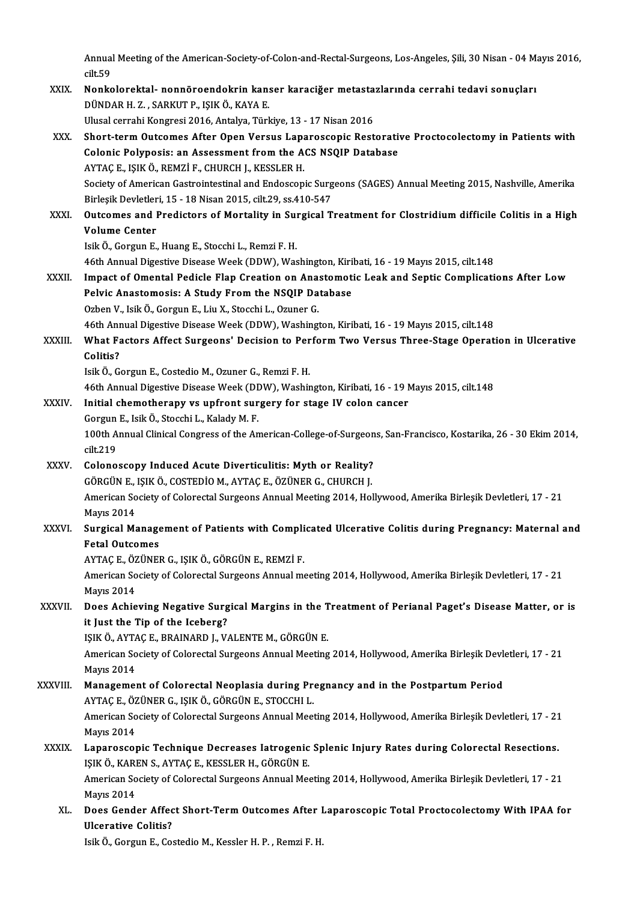Annual Meeting of the American-Society-of-Colon-and-Rectal-Surgeons, Los-Angeles, Şili, 30 Nisan - 04 Mayıs 2016,<br>silt 50 Annua<br>cilt.59<br>Norks Annual Meeting of the American-Society-of-Colon-and-Rectal-Surgeons, Los-Angeles, Şili, 30 Nisan - 04 M;<br>cilt.59<br>XXIX. Nonkolorektal- nonnöroendokrin kanser karaciğer metastazlarında cerrahi tedavi sonuçları<br>DÜNDAR H. Z. S

- cilt.59<br>Nonkolorektal- nonnöroendokrin kanser karaciğer metastazlarında cerrahi tedavi sonuçları<br>DÜNDAR H. Z. , SARKUT P., IŞIK Ö., KAYA E. Ulusal cerrahi Kongresi 2016, Antalya, Türkiye, 13 - 17 Nisan 2016
- DÜNDAR H. Z. , SARKUT P., IŞIK Ö., KAYA E.<br>Ulusal cerrahi Kongresi 2016, Antalya, Türkiye, 13 17 Nisan 2016<br>XXX. Short-term Outcomes After Open Versus Laparoscopic Restorative Proctocolectomy in Patients with<br>Colonis Pol Ulusal cerrahi Kongresi 2016, Antalya, Türkiye, 13 - 17 Nisan 2016<br>Short-term Outcomes After Open Versus Laparoscopic Restorati<br>Colonic Polyposis: an Assessment from the ACS NSQIP Database<br>AYTACE ISIKÖ PEMZIE CHUPCH L KESI Colonic Polyposis: an Assessment from the ACS NSQIP Database<br>AYTAÇE., IŞIKÖ., REMZİF., CHURCH J., KESSLER H. Colonic Polyposis: an Assessment from the ACS NSQIP Database<br>AYTAÇ E., IŞIK Ö., REMZİ F., CHURCH J., KESSLER H.<br>Society of American Gastrointestinal and Endoscopic Surgeons (SAGES) Annual Meeting 2015, Nashville, Amerika<br>P AYTAÇ E., IŞIK Ö., REMZİ F., CHURCH J., KESSLER H.<br>Society of American Gastrointestinal and Endoscopic Surg<br>Birleşik Devletleri, 15 - 18 Nisan 2015, cilt.29, ss.410-547<br>Quteemes and Predistors of Mortelity in Surgisel T Society of American Gastrointestinal and Endoscopic Surgeons (SAGES) Annual Meeting 2015, Nashville, Amerika<br>Birleşik Devletleri, 15 - 18 Nisan 2015, cilt.29, ss.410-547<br>XXXI. Outcomes and Predictors of Mortality in Surgic
- Birleşik Devletler<br>Outcomes and I<br>Volume Center<br>Isik Ö. Cersun E Outcomes and Predictors of Mortality in Sul<br>Volume Center<br>Isik Ö., Gorgun E., Huang E., Stocchi L., Remzi F. H.<br>46th Annual Disective Disease Week (DDW), Wee Volume Center<br>Isik Ö., Gorgun E., Huang E., Stocchi L., Remzi F. H.<br>46th Annual Digestive Disease Week (DDW), Washington, Kiribati, 16 - 19 Mayıs 2015, cilt.148<br>Impact of Omantal Badiale Elan Creation en Anastamatis Leak a

Isik Ö., Gorgun E., Huang E., Stocchi L., Remzi F. H.<br>46th Annual Digestive Disease Week (DDW), Washington, Kiribati, 16 - 19 Mayıs 2015, cilt.148<br>XXXII. Impact of Omental Pedicle Flap Creation on Anastomotic Leak and Sept 46th Annual Digestive Disease Week (DDW), Washington, Kiri<br>Impact of Omental Pedicle Flap Creation on Anastomot:<br>Pelvic Anastomosis: A Study From the NSQIP Database Impact of Omental Pedicle Flap Creation on Ana:<br>Pelvic Anastomosis: A Study From the NSQIP Da<br>Ozben V., Isik Ö., Gorgun E., Liu X., Stocchi L., Ozuner G.<br>46th Annual Disective Disease Week (DDW), Weekingt 9 Pelvic Anastomosis: A Study From the NSQIP Database<br>Ozben V., Isik Ö., Gorgun E., Liu X., Stocchi L., Ozuner G.<br>46th Annual Digestive Disease Week (DDW), Washington, Kiribati, 16 - 19 Mayıs 2015, cilt.148

Ozben V., Isik Ö., Gorgun E., Liu X., Stocchi L., Ozuner G.<br>46th Annual Digestive Disease Week (DDW), Washington, Kiribati, 16 - 19 Mayıs 2015, cilt.148<br>XXXIII. What Factors Affect Surgeons' Decision to Perform Two Ver 46th An<mark>r</mark><br>What Fa<br>Colitis? What Factors Affect Surgeons' Decision to Per<br>Colitis?<br>Isik Ö., Gorgun E., Costedio M., Ozuner G., Remzi F. H.<br>46th Annual Digestive Disease Week (DDW), Weebir 6 <mark>Colitis?</mark><br>Isik Ö., Gorgun E., Costedio M., Ozuner G., Remzi F. H.<br>46th Annual Digestive Disease Week (DDW), Washington, Kiribati, 16 - 19 Mayıs 2015, cilt.148

Isik Ö., Gorgun E., Costedio M., Ozuner G., Remzi F. H.<br>46th Annual Digestive Disease Week (DDW), Washington, Kiribati, 16 - 19 NXXIV.<br>XXXIV. Initial chemotherapy vs upfront surgery for stage IV colon cancer<br>Corgun E. Jsik 46th Annual Digestive Disease Week (DI<br>Initial chemotherapy vs upfront sur<br>Gorgun E., Isik Ö., Stocchi L., Kalady M. F.<br>100th Annual Clinical Congress of the An

Gorgun E., Isik Ö., Stocchi L., Kalady M. F.

100th Annual Clinical Congress of the American-College-of-Surgeons, San-Francisco, Kostarika, 26 - 30 Ekim 2014, cilt, 219 100th Annual Clinical Congress of the American-College-of-Surgeon<br>cilt.219<br>XXXV. Colonoscopy Induced Acute Diverticulitis: Myth or Reality?<br>COPCUNE ISIX O COSTEDIO M AYTACE OZUNER C CHIRCH I

- cilt.219<br>Colonoscopy Induced Acute Diverticulitis: Myth or Reality?<br>GÖRGÜN E., IŞIK Ö., COSTEDİO M., AYTAÇ E., ÖZÜNER G., CHURCH J.<br>American Society of Colorectal Surgeons Annual Meeting 2014, Hel Colonoscopy Induced Acute Diverticulitis: Myth or Reality?<br>GÖRGÜN E., IŞIK Ö., COSTEDİO M., AYTAÇ E., ÖZÜNER G., CHURCH J.<br>American Society of Colorectal Surgeons Annual Meeting 2014, Hollywood, Amerika Birleşik Devletleri GÖRGÜN E.,<br>American So<br>Mayıs 2014<br>Sungical Me American Society of Colorectal Surgeons Annual Meeting 2014, Hollywood, Amerika Birleşik Devletleri, 17 - 21<br>Mayıs 2014<br>XXXVI. Surgical Management of Patients with Complicated Ulcerative Colitis during Pregnancy: Maternal
- Mayıs 2014<br>Surgical Management of Patients with Complicated Ulcerative Colitis during Pregnancy: Maternal and<br>Fetal Outcomes Surgical Management of Patients with Compli<br>Fetal Outcomes<br>AYTAÇ E., ÖZÜNER G., IŞIK Ö., GÖRGÜN E., REMZİ F.<br>American Society of Colorectal Surgeons Annual me

Fetal Outcomes<br>AYTAÇ E., ÖZÜNER G., IŞIK Ö., GÖRGÜN E., REMZİ F.<br>American Society of Colorectal Surgeons Annual meeting 2014, Hollywood, Amerika Birleşik Devletleri, 17 - 21<br>Mayra 2014 AYTAÇ E., ÖZ<br>American So<br>Mayıs 2014<br>Doos Ashie American Society of Colorectal Surgeons Annual meeting 2014, Hollywood, Amerika Birleşik Devletleri, 17 - 21<br>Mayıs 2014<br>XXXVII. Does Achieving Negative Surgical Margins in the Treatment of Perianal Paget's Disease Matter,

Mayıs 2014<br>Does Achieving Negative Surgical Margins in the Treatment of Perianal Paget's Disease Matter, or is<br>it Just the Tip of the Iceberg? Does Achieving Negative Surgical Margins in the T<br>it Just the Tip of the Iceberg?<br>IŞIK Ö., AYTAÇ E., BRAINARD J., VALENTE M., GÖRGÜN E.<br>American Society of Colorectal Surgeons Annual Mosting

American Society of Colorectal Surgeons Annual Meeting 2014, Hollywood, Amerika Birleşik Devletleri, 17 - 21<br>Mayıs 2014 IŞIK Ö., AYTA<br>American So<br>Mayıs 2014<br>Manasamaı American Society of Colorectal Surgeons Annual Meeting 2014, Hollywood, Amerika Birleşik Devl<br>Mayıs 2014<br>XXXVIII. Management of Colorectal Neoplasia during Pregnancy and in the Postpartum Period<br>AVTACE ÖZÜNER CUSIK ÖLGERCÜ

# Mayıs 2014<br>Management of Colorectal Neoplasia during Pre<br>AYTAÇ E., ÖZÜNER G., IŞIK Ö., GÖRGÜN E., STOCCHI L.<br>American Society of Colorectal Surgeons Annual Meci Management of Colorectal Neoplasia during Pregnancy and in the Postpartum Period<br>AYTAÇ E., ÖZÜNER G., IŞIK Ö., GÖRGÜN E., STOCCHI L.<br>American Society of Colorectal Surgeons Annual Meeting 2014, Hollywood, Amerika Birleşik

AYTAÇ E., ÖZÜNER G., IŞIK Ö., GÖRGÜN E., STOCCHI L.<br>American Society of Colorectal Surgeons Annual Meeting 2014, Hollywood, Amerika Birleşik Devletleri, 17 - 21<br>Mayıs 2014 American Society of Colorectal Surgeons Annual Meeting 2014, Hollywood, Amerika Birleşik Devletleri, 17 - 21<br>Mayıs 2014<br>XXXIX. Laparoscopic Technique Decreases Iatrogenic Splenic Injury Rates during Colorectal Resections.

Mayıs 2014<br>Laparoscopic Technique Decreases latrogenic<br>IŞIK Ö., KAREN S., AYTAÇ E., KESSLER H., GÖRGÜN E.<br>Amerisan Sesisty of Colorestel Surssons Annuel Mes IŞIK Ö., KAREN S., AYTAÇ E., KESSLER H., GÖRGÜN E.

American Society of Colorectal Surgeons Annual Meeting 2014, Hollywood, Amerika Birleşik Devletleri, 17 - 21<br>Mayıs 2014 American Society of Colorectal Surgeons Annual Meeting 2014, Hollywood, Amerika Birleşik Devletleri, 17 - 21<br>Mayıs 2014<br>XL. Does Gender Affect Short-Term Outcomes After Laparoscopic Total Proctocolectomy With IPAA for<br>With

Mayıs 2014<br>Does Gender Affec<br>Ulcerative Colitis?<br><sup>Leil</sup>t Ö. Corgun E. Co Ulcerative Colitis?<br>Isik Ö., Gorgun E., Costedio M., Kessler H. P. , Remzi F. H.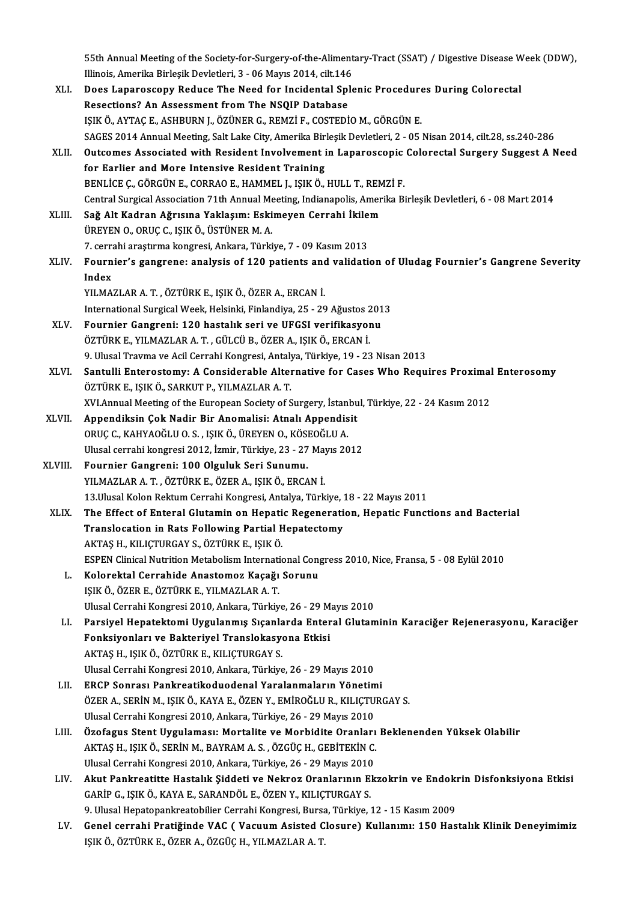55th Annual Meeting of the Society-for-Surgery-of-the-Alimentary-Tract (SSAT) / Digestive Disease Week (DDW),<br>Illineis, Amerika Birlesik Devletleri, 3, .06 Mayrs 2014, silt 146 1935 Sth Annual Meeting of the Society-for-Surgery-of-the-Aliment<br>Illinois, Amerika Birleşik Devletleri, 3 - 06 Mayıs 2014, cilt.146<br>Dess Lanansssenuy Beduse The Need for Insidental Sple 55th Annual Meeting of the Society-for-Surgery-of-the-Alimentary-Tract (SSAT) / Digestive Disease W<br>Illinois, Amerika Birleşik Devletleri, 3 - 06 Mayıs 2014, cilt.146<br>XLI. Does Laparoscopy Reduce The Need for Incidental Sp

- Illinois, Amerika Birleşik Devletleri, 3 06 Mayıs 2014, cilt.146<br>Does Laparoscopy Reduce The Need for Incidental Splenic Procedure<br>Resections? An Assessment from The NSQIP Database<br>IŞIK Ö., AYTAÇ E., ASHBURN J., ÖZÜNER G Does Laparoscopy Reduce The Need for Incidental Splenic Procedures During Colorectal SAGES 2014 Annual Meeting, Salt Lake City, Amerika Birleşik Devletleri, 2 - 05 Nisan 2014, cilt.28, ss.240-286 IŞIK Ö., AYTAÇ E., ASHBURN J., ÖZÜNER G., REMZİ F., COSTEDİO M., GÖRGÜN E.<br>SAGES 2014 Annual Meeting, Salt Lake City, Amerika Birleşik Devletleri, 2 - 05 Nisan 2014, cilt.28, ss.240-286<br>XLII. Outcomes Associated with R
- SAGES 2014 Annual Meeting, Salt Lake City, Amerika Bir<br>Outcomes Associated with Resident Involvement i<br>for Earlier and More Intensive Resident Training<br>PENLICE C. CÖRCÜNE, COPRAOE, HAMMEL LISIKÖ Outcomes Associated with Resident Involvement in Laparoscopic<br>for Earlier and More Intensive Resident Training<br>BENLİCE Ç., GÖRGÜN E., CORRAO E., HAMMEL J., IŞIK Ö., HULL T., REMZİ F.<br>Contral Surgical Association 71th Annua for Earlier and More Intensive Resident Training<br>BENLİCE Ç., GÖRGÜN E., CORRAO E., HAMMEL J., IŞIK Ö., HULL T., REMZİ F.<br>Central Surgical Association 71th Annual Meeting, Indianapolis, Amerika Birleşik Devletleri, 6 - 08 M
- BENLİCE Ç., GÖRGÜN E., CORRAO E., HAMMEL J., IŞIK Ö., HULL T., REM<br>Central Surgical Association 71th Annual Meeting, Indianapolis, Amer<br>XLIII. Sağ Alt Kadran Ağrısına Yaklaşım: Eskimeyen Cerrahi İkilem<br>ÜREVEN O. ORUC G. IS Central Surgical Association 71th Annual Me<br>Sağ Alt Kadran Ağrısına Yaklaşım: Eski<br>ÜREYEN O., ORUÇ C., IŞIK Ö., ÜSTÜNER M. A.<br>7. cerrebi arastırma konstası Ankara Türki 5ağ Alt Kadran Ağrısına Yaklaşım: Eskimeyen Cerrahi İkilem<br>ÜREYEN 0., ORUÇ C., IŞIK Ö., ÜSTÜNER M. A.<br>7. cerrahi araştırma kongresi, Ankara, Türkiye, 7 - 09 Kasım 2013
- ÜREYEN 0., ORUÇ C., IŞIK Ö., ÜSTÜNER M. A.<br>7. cerrahi araştırma kongresi, Ankara, Türkiye, 7 09 Kasım 2013<br>XLIV. Fournier's gangrene: analysis of 120 patients and validation of Uludag Fournier's Gangrene Severity 7. cerra<br>Fourn<br>Index<br><sup>VII MA</sup> YILMAZLARA.T. ,ÖZTÜRKE., IŞIKÖ.,ÖZERA.,ERCANİ.
- I<mark>ndex</mark><br>YILMAZLAR A. T. , ÖZTÜRK E., IŞIK Ö., ÖZER A., ERCAN İ.<br>International Surgical Week, Helsinki, Finlandiya, 25 29 Ağustos 2013<br>Founniar Cangrani: 120 bestalık sari ve UECSI verifikasyonu YILMAZLAR A. T. , ÖZTÜRK E., IŞIK Ö., ÖZER A., ERCAN İ.<br>International Surgical Week, Helsinki, Finlandiya, 25 - 29 Ağustos 201<br>XLV. Fournier Gangreni: 120 hastalık seri ve UFGSI verifikasyonu<br>ÖZTÜRK E. VILMAZLAR A. T. CÜLC
- International Surgical Week, Helsinki, Finlandiya, 25 29 Ağustos 2<br>Fournier Gangreni: 120 hastalık seri ve UFGSI verifikasyor<br>ÖZTÜRK E., YILMAZLAR A. T. , GÜLCÜ B., ÖZER A., IŞIK Ö., ERCAN İ.<br>9. Ulusel Trauma ve Asil Cer Fournier Gangreni: 120 hastalık seri ve UFGSI verifikasyonu<br>ÖZTÜRK E., YILMAZLAR A. T. , GÜLCÜ B., ÖZER A., IŞIK Ö., ERCAN İ.<br>9. Ulusal Travma ve Acil Cerrahi Kongresi, Antalya, Türkiye, 19 - 23 Nisan 2013<br>Santulli Enteres
- ÖZTÜRK E., YILMAZLAR A. T. , GÜLCÜ B., ÖZER A., IŞIK Ö., ERCAN İ.<br>9. Ulusal Travma ve Acil Cerrahi Kongresi, Antalya, Türkiye, 19 23 Nisan 2013<br>XLVI. Santulli Enterostomy: A Considerable Alternative for Cases Who Req 9. Ulusal Travma ve Acil Cerrahi Kongresi, Antaly<br>Santulli Enterostomy: A Considerable Alter<br>ÖZTÜRK E., IŞIK Ö., SARKUT P., YILMAZLAR A. T.<br>YVI Annual Mesting of the European Society of S Santulli Enterostomy: A Considerable Alternative for Cases Who Requires Proximal<br>ÖZTÜRK E., IŞIK Ö., SARKUT P., YILMAZLAR A. T.<br>XVI.Annual Meeting of the European Society of Surgery, İstanbul, Türkiye, 22 - 24 Kasım 2012<br>A
- XLVII. Appendiksin Çok Nadir Bir Anomalisi: Atnalı Appendisit ORUÇ C., KAHYAOĞLU O. S., IŞIK Ö., ÜREYEN O., KÖSEOĞLU A. XVI.Annual Meeting of the European Society of Surgery, İstan<br>Appendiksin Çok Nadir Bir Anomalisi: Atnalı Appendis<br>ORUÇ C., KAHYAOĞLU O. S. , IŞIK Ö., ÜREYEN O., KÖSEOĞLU A.<br>Ulucal carrabi kongresi 2012 İzmir Türkiye 22, 27 Appendiksin Çok Nadir Bir Anomalisi: Atnalı Appendisit<br>ORUÇ C., KAHYAOĞLU O. S. , IŞIK Ö., ÜREYEN O., KÖSEOĞLU A.<br>Ulusal cerrahi kongresi 2012, İzmir, Türkiye, 23 - 27 Mayıs 2012<br>Fournian Cangrani: 100 Olguluk Sori Sunumu ORUÇ C., KAHYAOĞLU O. S., IŞIK Ö., ÜREYEN O., KÖSI<br>Ulusal cerrahi kongresi 2012, İzmir, Türkiye, 23 - 27<br>XLVIII. Fournier Gangreni: 100 Olguluk Seri Sunumu.<br>VII.MAZI AR A. T. ÖZTÜRK E. ÖZER A. ISIK Ö. ERCA
- Ulusal cerrahi kongresi 2012, İzmir, Türkiye, 23 27 May<br>Fournier Gangreni: 100 Olguluk Seri Sunumu.<br>YILMAZLAR A. T. , ÖZTÜRK E., ÖZER A., IŞIK Ö., ERCAN İ.<br>12 Ulusal Kalan Baktum Carrabi Kangresi, Antakva Türk Fournier Gangreni: 100 Olguluk Seri Sunumu.<br>YILMAZLAR A. T. , ÖZTÜRK E., ÖZER A., IŞIK Ö., ERCAN İ.<br>13.Ulusal Kolon Rektum Cerrahi Kongresi, Antalya, Türkiye, 18 - 22 Mayıs 2011<br>The Effect of Enteral Clutemin on Henetis Be
- YILMAZLAR A. T. , ÖZTÜRK E., ÖZER A., IŞIK Ö., ERCAN İ.<br>13.Ulusal Kolon Rektum Cerrahi Kongresi, Antalya, Türkiye, 18 22 Mayıs 2011<br>XLIX. The Effect of Enteral Glutamin on Hepatic Regeneration, Hepatic Functions and 13.Ulusal Kolon Rektum Cerrahi Kongresi, Antalya, Türkiye, 2<br>The Effect of Enteral Glutamin on Hepatic Regenerati<br>Translocation in Rats Following Partial Hepatectomy<br>AKTAS H. KU ICTURCAY S. ÖZTÜRK E. ISIK Ö AKTAŞH.,KILIÇTURGAYS.,ÖZTÜRKE., IŞIKÖ. Translocation in Rats Following Partial Hepatectomy<br>AKTAŞ H., KILIÇTURGAY S., ÖZTÜRK E., IŞIK Ö.<br>ESPEN Clinical Nutrition Metabolism International Congress 2010, Nice, Fransa, 5 - 08 Eylül 2010<br>Kelenektel Connabide Anastam AKTAŞ H., KILIÇTURGAY S., ÖZTÜRK E., IŞIK Ö.<br>ESPEN Clinical Nutrition Metabolism International Conq<br>L. Kolorektal Cerrahide Anastomoz Kaçağı Sorunu<br>ISIK Ö. ÖZER E. ÖZTÜRK E. YU MAZLAR A.T.
	- ESPEN Clinical Nutrition Metabolism Internati<br>Kolorektal Cerrahide Anastomoz Kaçağı<br>IŞIK Ö., ÖZER E., ÖZTÜRK E., YILMAZLAR A. T.<br>Illusel Cerrabi Kongresi 2010, Ankara Türlüy L. Kolorektal Cerrahide Anastomoz Kaçağı Sorunu<br>IŞIK Ö., ÖZER E., ÖZTÜRK E., YILMAZLAR A. T.<br>Ulusal Cerrahi Kongresi 2010, Ankara, Türkiye, 26 - 29 Mayıs 2010
	- LI. Parsiyel Hepatektomi Uygulanmış Sıçanlarda Enteral Glutaminin Karaciğer Rejenerasyonu, Karaciğer Ulusal Cerrahi Kongresi 2010, Ankara, Türkiye, 26 - 29 M<br>Parsiyel Hepatektomi Uygulanmış Sıçanlarda Enter<br>Fonksiyonları ve Bakteriyel Translokasyona Etkisi<br>AKTAS H. ISIKÖ ÖZTÜRK E. KU ICTURCAY S Parsiyel Hepatektomi Uygulanmış Sıçanla<br>Fonksiyonları ve Bakteriyel Translokasy<br>AKTAŞ H., IŞIK Ö., ÖZTÜRK E., KILIÇTURGAY S.<br>Ulusel Cerrebi Kongresi 2010, Ankara, Türkiye AKTAŞ H., IŞIK Ö., ÖZTÜRK E., KILIÇTURGAY S.<br>Ulusal Cerrahi Kongresi 2010, Ankara, Türkiye, 26 - 29 Mayıs 2010
		-
	- AKTAŞ H., IŞIK Ö., ÖZTÜRK E., KILIÇTURGAY S.<br>Ulusal Cerrahi Kongresi 2010, Ankara, Türkiye, 26 29 Mayıs 2010<br>LII. ERCP Sonrası Pankreatikoduodenal Yaralanmaların Yönetimi<br>ÖZEP A. SEPİN M. ISIK Ö. KAYA E. ÖZEN V. EMİR ÖZER A., SERİN M., IŞIK Ö., KAYA E., ÖZEN Y., EMİROĞLU R., KILIÇTURGAY S.<br>Ulusal Cerrahi Kongresi 2010, Ankara, Türkiye, 26 - 29 Mayıs 2010 ERCP Sonrası Pankreatikoduodenal Yaralanmaların Yönetim<br>ÖZER A., SERİN M., IŞIK Ö., KAYA E., ÖZEN Y., EMİROĞLU R., KILIÇTU<br>Ulusal Cerrahi Kongresi 2010, Ankara, Türkiye, 26 - 29 Mayıs 2010<br>Özefegue Stent Uygulaması: Mertal ÖZER A., SERİN M., IŞIK Ö., KAYA E., ÖZEN Y., EMİROĞLU R., KILIÇTURGAY S.<br>Ulusal Cerrahi Kongresi 2010, Ankara, Türkiye, 26 - 29 Mayıs 2010<br>LIII. Özofagus Stent Uygulaması: Mortalite ve Morbidite Oranları Beklenenden Y
	- Ulusal Cerrahi Kongresi 2010, Ankara, Türkiye, 26 29 Mayıs 2010<br>Özofagus Stent Uygulaması: Mortalite ve Morbidite Oranları<br>AKTAŞ H., IŞIK Ö., SERİN M., BAYRAM A. S. , ÖZGÜÇ H., GEBİTEKİN C.<br>Ulusal Carrabi Kongresi 2010, Özofagus Stent Uygulaması: Mortalite ve Morbidite Oranları<br>AKTAŞ H., IŞIK Ö., SERİN M., BAYRAM A. S. , ÖZGÜÇ H., GEBİTEKİN C.<br>Ulusal Cerrahi Kongresi 2010, Ankara, Türkiye, 26 - 29 Mayıs 2010<br>Akut Bankreatitte Hastalık Sid AKTAŞ H., IŞIK Ö., SERİN M., BAYRAM A. S. , ÖZGÜÇ H., GEBİTEKİN C.<br>Ulusal Cerrahi Kongresi 2010, Ankara, Türkiye, 26 - 29 Mayıs 2010<br>LIV. Akut Pankreatitte Hastalık Şiddeti ve Nekroz Oranlarının Ekzokrin ve Endokrin Di
	- Ulusal Cerrahi Kongresi 2010, Ankara, Türkiye, 26 29 Mayıs 2010<br>Akut Pankreatitte Hastalık Şiddeti ve Nekroz Oranlarının E.<br>GARİP G., IŞIK Ö., KAYA E., SARANDÖL E., ÖZEN Y., KILIÇTURGAY S.<br>9. Ulusal Hanatananlmaatabiliar Akut Pankreatitte Hastalık Şiddeti ve Nekroz Oranlarının Ekzokrin ve Endokı<br>GARİP G., IŞIK Ö., KAYA E., SARANDÖL E., ÖZEN Y., KILIÇTURGAY S.<br>9. Ulusal Hepatopankreatobilier Cerrahi Kongresi, Bursa, Türkiye, 12 - 15 Kasım 2 GARİP G., IŞIK Ö., KAYA E., SARANDÖL E., ÖZEN Y., KILIÇTURGAY S.<br>9. Ulusal Hepatopankreatobilier Cerrahi Kongresi, Bursa, Türkiye, 12 - 15 Kasım 2009<br>19. Genel cerrahi Pratiğinde VAC ( Vacuum Asisted Closure) Kullanımı: 15
	- 9. Ulusal Hepatopankreatobilier Cerrahi Kongresi, Bursa<br>Genel cerrahi Prati<mark>ğinde VAC ( Vacuum Asisted C</mark><br>IŞIK Ö., ÖZTÜRK E., ÖZER A., ÖZGÜÇ H., YILMAZLAR A. T.